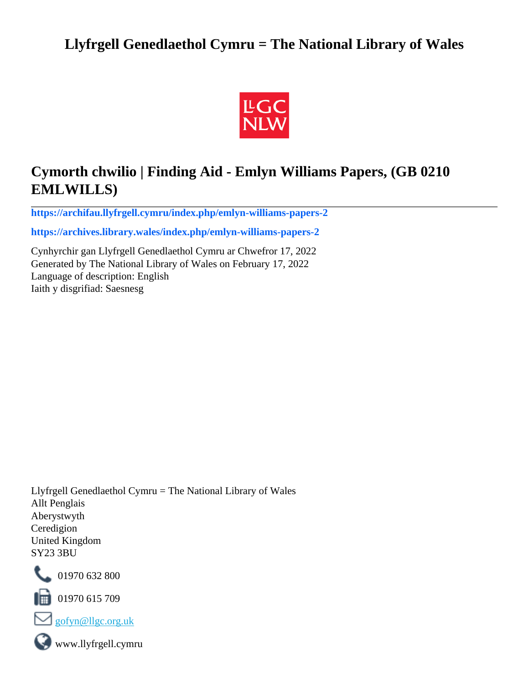# **Llyfrgell Genedlaethol Cymru = The National Library of Wales**



# **Cymorth chwilio | Finding Aid - Emlyn Williams Papers, (GB 0210 EMLWILLS)**

**[https://archifau.llyfrgell.cymru/index.php/emlyn-williams-papers-2](https://archifau.llyfrgell.cymru/index.php/emlyn-williams-papers-2;isad?sf_culture=cy)**

**[https://archives.library.wales/index.php/emlyn-williams-papers-2](https://archives.library.wales/index.php/emlyn-williams-papers-2;isad?sf_culture=en)**

Cynhyrchir gan Llyfrgell Genedlaethol Cymru ar Chwefror 17, 2022 Generated by The National Library of Wales on February 17, 2022 Language of description: English Iaith y disgrifiad: Saesnesg

Llyfrgell Genedlaethol Cymru = The National Library of Wales Allt Penglais Aberystwyth Ceredigion United Kingdom SY23 3BU



101970 632 800

 $\blacksquare$  01970 615 709



www.llyfrgell.cymru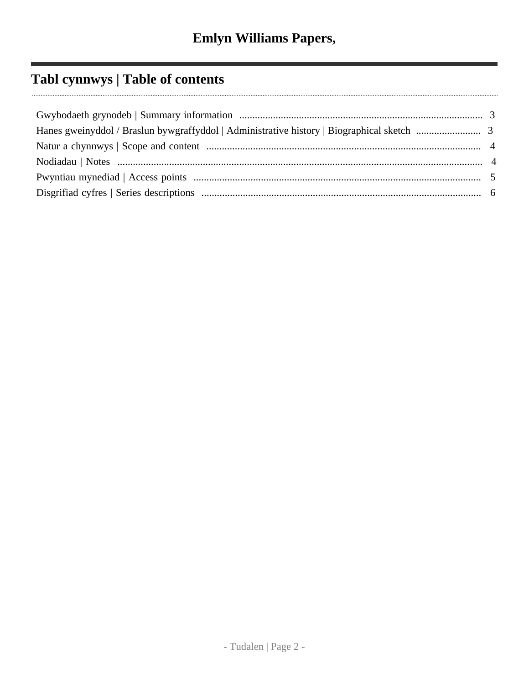# **Tabl cynnwys | Table of contents**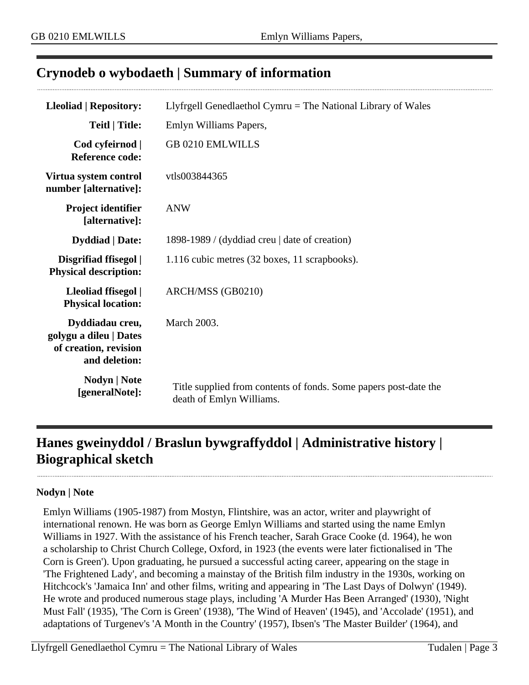# <span id="page-2-0"></span>**Crynodeb o wybodaeth | Summary of information**

| <b>Lleoliad   Repository:</b>                                                       | Llyfrgell Genedlaethol Cymru = The National Library of Wales                                 |  |  |
|-------------------------------------------------------------------------------------|----------------------------------------------------------------------------------------------|--|--|
| <b>Teitl   Title:</b>                                                               | Emlyn Williams Papers,                                                                       |  |  |
| Cod cyfeirnod  <br><b>Reference code:</b>                                           | <b>GB 0210 EMLWILLS</b>                                                                      |  |  |
| Virtua system control<br>number [alternative]:                                      | vtls003844365                                                                                |  |  |
| <b>Project identifier</b><br>[alternative]:                                         | <b>ANW</b>                                                                                   |  |  |
| <b>Dyddiad</b>   Date:                                                              | 1898-1989 / (dyddiad creu   date of creation)                                                |  |  |
| Disgrifiad ffisegol  <br><b>Physical description:</b>                               | 1.116 cubic metres (32 boxes, 11 scrapbooks).                                                |  |  |
| Lleoliad ffisegol  <br><b>Physical location:</b>                                    | ARCH/MSS (GB0210)                                                                            |  |  |
| Dyddiadau creu,<br>golygu a dileu   Dates<br>of creation, revision<br>and deletion: | March 2003.                                                                                  |  |  |
| Nodyn   Note<br>[generalNote]:                                                      | Title supplied from contents of fonds. Some papers post-date the<br>death of Emlyn Williams. |  |  |

# <span id="page-2-1"></span>**Hanes gweinyddol / Braslun bywgraffyddol | Administrative history | Biographical sketch**

### **Nodyn | Note**

Emlyn Williams (1905-1987) from Mostyn, Flintshire, was an actor, writer and playwright of international renown. He was born as George Emlyn Williams and started using the name Emlyn Williams in 1927. With the assistance of his French teacher, Sarah Grace Cooke (d. 1964), he won a scholarship to Christ Church College, Oxford, in 1923 (the events were later fictionalised in 'The Corn is Green'). Upon graduating, he pursued a successful acting career, appearing on the stage in 'The Frightened Lady', and becoming a mainstay of the British film industry in the 1930s, working on Hitchcock's 'Jamaica Inn' and other films, writing and appearing in 'The Last Days of Dolwyn' (1949). He wrote and produced numerous stage plays, including 'A Murder Has Been Arranged' (1930), 'Night Must Fall' (1935), 'The Corn is Green' (1938), 'The Wind of Heaven' (1945), and 'Accolade' (1951), and adaptations of Turgenev's 'A Month in the Country' (1957), Ibsen's 'The Master Builder' (1964), and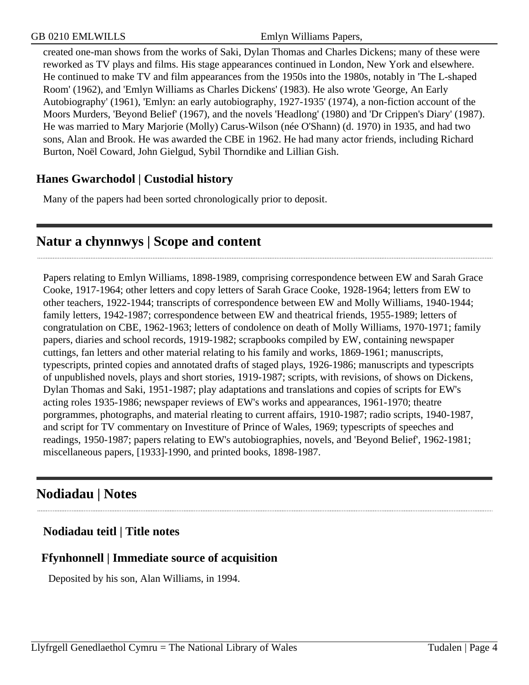created one-man shows from the works of Saki, Dylan Thomas and Charles Dickens; many of these were reworked as TV plays and films. His stage appearances continued in London, New York and elsewhere. He continued to make TV and film appearances from the 1950s into the 1980s, notably in 'The L-shaped Room' (1962), and 'Emlyn Williams as Charles Dickens' (1983). He also wrote 'George, An Early Autobiography' (1961), 'Emlyn: an early autobiography, 1927-1935' (1974), a non-fiction account of the Moors Murders, 'Beyond Belief' (1967), and the novels 'Headlong' (1980) and 'Dr Crippen's Diary' (1987). He was married to Mary Marjorie (Molly) Carus-Wilson (née O'Shann) (d. 1970) in 1935, and had two sons, Alan and Brook. He was awarded the CBE in 1962. He had many actor friends, including Richard Burton, Noël Coward, John Gielgud, Sybil Thorndike and Lillian Gish.

# **Hanes Gwarchodol | Custodial history**

Many of the papers had been sorted chronologically prior to deposit.

# <span id="page-3-0"></span>**Natur a chynnwys | Scope and content**

Papers relating to Emlyn Williams, 1898-1989, comprising correspondence between EW and Sarah Grace Cooke, 1917-1964; other letters and copy letters of Sarah Grace Cooke, 1928-1964; letters from EW to other teachers, 1922-1944; transcripts of correspondence between EW and Molly Williams, 1940-1944; family letters, 1942-1987; correspondence between EW and theatrical friends, 1955-1989; letters of congratulation on CBE, 1962-1963; letters of condolence on death of Molly Williams, 1970-1971; family papers, diaries and school records, 1919-1982; scrapbooks compiled by EW, containing newspaper cuttings, fan letters and other material relating to his family and works, 1869-1961; manuscripts, typescripts, printed copies and annotated drafts of staged plays, 1926-1986; manuscripts and typescripts of unpublished novels, plays and short stories, 1919-1987; scripts, with revisions, of shows on Dickens, Dylan Thomas and Saki, 1951-1987; play adaptations and translations and copies of scripts for EW's acting roles 1935-1986; newspaper reviews of EW's works and appearances, 1961-1970; theatre porgrammes, photographs, and material rleating to current affairs, 1910-1987; radio scripts, 1940-1987, and script for TV commentary on Investiture of Prince of Wales, 1969; typescripts of speeches and readings, 1950-1987; papers relating to EW's autobiographies, novels, and 'Beyond Belief', 1962-1981; miscellaneous papers, [1933]-1990, and printed books, 1898-1987.

# <span id="page-3-1"></span>**Nodiadau | Notes**

## **Nodiadau teitl | Title notes**

# **Ffynhonnell | Immediate source of acquisition**

Deposited by his son, Alan Williams, in 1994.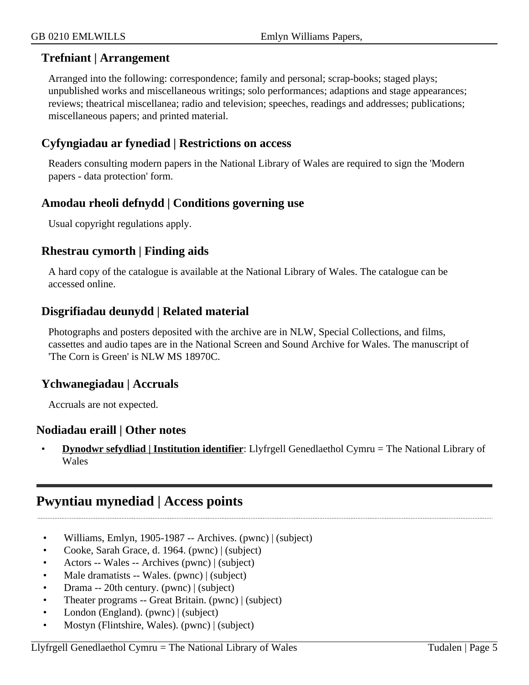### **Trefniant | Arrangement**

Arranged into the following: correspondence; family and personal; scrap-books; staged plays; unpublished works and miscellaneous writings; solo performances; adaptions and stage appearances; reviews; theatrical miscellanea; radio and television; speeches, readings and addresses; publications; miscellaneous papers; and printed material.

## **Cyfyngiadau ar fynediad | Restrictions on access**

Readers consulting modern papers in the National Library of Wales are required to sign the 'Modern papers - data protection' form.

## **Amodau rheoli defnydd | Conditions governing use**

Usual copyright regulations apply.

### **Rhestrau cymorth | Finding aids**

A hard copy of the catalogue is available at the National Library of Wales. The catalogue can be accessed online.

## **Disgrifiadau deunydd | Related material**

Photographs and posters deposited with the archive are in NLW, Special Collections, and films, cassettes and audio tapes are in the National Screen and Sound Archive for Wales. The manuscript of 'The Corn is Green' is NLW MS 18970C.

## **Ychwanegiadau | Accruals**

Accruals are not expected.

### **Nodiadau eraill | Other notes**

• **Dynodwr sefydliad | Institution identifier**: Llyfrgell Genedlaethol Cymru = The National Library of Wales

# <span id="page-4-0"></span>**Pwyntiau mynediad | Access points**

- Williams, Emlyn, 1905-1987 -- Archives. (pwnc) | (subject)
- Cooke, Sarah Grace, d. 1964. (pwnc) | (subject)
- Actors -- Wales -- Archives (pwnc) | (subject)
- Male dramatists -- Wales. (pwnc) | (subject)
- Drama -- 20th century. (pwnc) | (subject)
- Theater programs -- Great Britain. (pwnc) | (subject)
- London (England). (pwnc) | (subject)
- Mostyn (Flintshire, Wales). (pwnc) | (subject)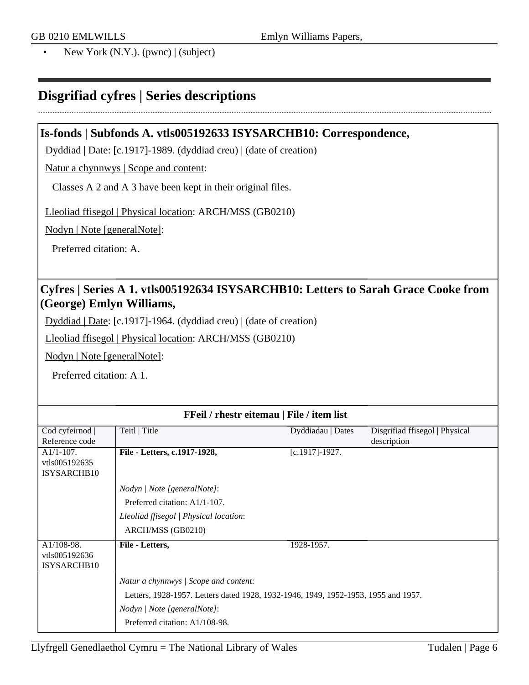• New York  $(N.Y.)$ . (pwnc)  $|$  (subject)

# <span id="page-5-0"></span>**Disgrifiad cyfres | Series descriptions**

### **Is-fonds | Subfonds A. vtls005192633 ISYSARCHB10: Correspondence,**

Dyddiad | Date: [c.1917]-1989. (dyddiad creu) | (date of creation)

Natur a chynnwys | Scope and content:

Classes A 2 and A 3 have been kept in their original files.

Lleoliad ffisegol | Physical location: ARCH/MSS (GB0210)

Nodyn | Note [generalNote]:

Preferred citation: A.

## **Cyfres | Series A 1. vtls005192634 ISYSARCHB10: Letters to Sarah Grace Cooke from (George) Emlyn Williams,**

Dyddiad | Date: [c.1917]-1964. (dyddiad creu) | (date of creation)

Lleoliad ffisegol | Physical location: ARCH/MSS (GB0210)

Nodyn | Note [generalNote]:

Preferred citation: A 1.

| FFeil / rhestr eitemau   File / item list    |                                                                                    |                    |                                |  |
|----------------------------------------------|------------------------------------------------------------------------------------|--------------------|--------------------------------|--|
| Cod cyfeirnod                                | Teitl   Title                                                                      | Dyddiadau   Dates  | Disgrifiad ffisegol   Physical |  |
| Reference code                               |                                                                                    |                    | description                    |  |
| $A1/1-107$ .<br>vtls005192635<br>ISYSARCHB10 | File - Letters, c.1917-1928,                                                       | $[c.1917] - 1927.$ |                                |  |
|                                              | Nodyn   Note [generalNote]:                                                        |                    |                                |  |
|                                              | Preferred citation: A1/1-107.                                                      |                    |                                |  |
|                                              | Lleoliad ffisegol   Physical location:                                             |                    |                                |  |
|                                              | ARCH/MSS (GB0210)                                                                  |                    |                                |  |
| A1/108-98.<br>vtls005192636<br>ISYSARCHB10   | File - Letters,                                                                    | 1928-1957.         |                                |  |
|                                              | Natur a chynnwys / Scope and content:                                              |                    |                                |  |
|                                              | Letters, 1928-1957. Letters dated 1928, 1932-1946, 1949, 1952-1953, 1955 and 1957. |                    |                                |  |
|                                              | Nodyn   Note [generalNote]:                                                        |                    |                                |  |
|                                              | Preferred citation: A1/108-98.                                                     |                    |                                |  |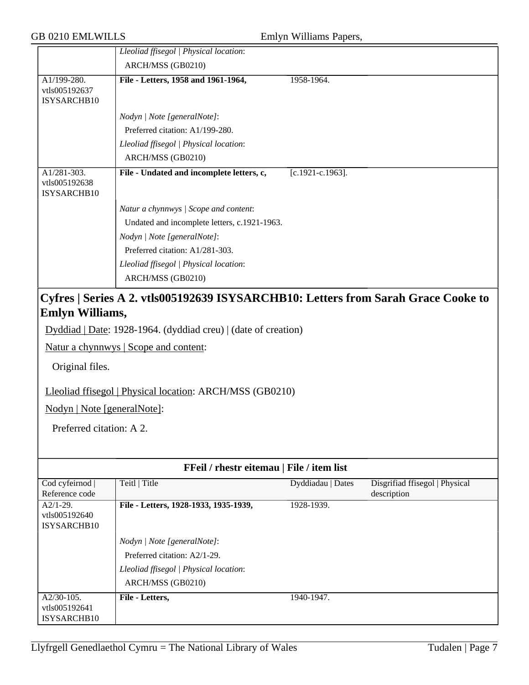| <b>GB 0210 EMLWILLS</b>                                                    |                                                                                                                                                                     | Emlyn Williams Papers, |                                               |
|----------------------------------------------------------------------------|---------------------------------------------------------------------------------------------------------------------------------------------------------------------|------------------------|-----------------------------------------------|
|                                                                            | Lleoliad ffisegol   Physical location:                                                                                                                              |                        |                                               |
|                                                                            | ARCH/MSS (GB0210)                                                                                                                                                   |                        |                                               |
| A1/199-280.<br>vtls005192637<br>ISYSARCHB10                                | File - Letters, 1958 and 1961-1964,                                                                                                                                 | 1958-1964.             |                                               |
|                                                                            | Nodyn   Note [generalNote]:                                                                                                                                         |                        |                                               |
|                                                                            | Preferred citation: A1/199-280.                                                                                                                                     |                        |                                               |
|                                                                            | Lleoliad ffisegol   Physical location:                                                                                                                              |                        |                                               |
|                                                                            | ARCH/MSS (GB0210)                                                                                                                                                   |                        |                                               |
| A1/281-303.<br>vtls005192638<br>ISYSARCHB10                                | File - Undated and incomplete letters, c,                                                                                                                           | $[c.1921-c.1963]$ .    |                                               |
|                                                                            | Natur a chynnwys / Scope and content:                                                                                                                               |                        |                                               |
|                                                                            | Undated and incomplete letters, c.1921-1963.                                                                                                                        |                        |                                               |
|                                                                            | Nodyn   Note [generalNote]:                                                                                                                                         |                        |                                               |
|                                                                            | Preferred citation: A1/281-303.                                                                                                                                     |                        |                                               |
|                                                                            | Lleoliad ffisegol   Physical location:                                                                                                                              |                        |                                               |
|                                                                            | ARCH/MSS (GB0210)                                                                                                                                                   |                        |                                               |
| Original files.<br>Nodyn   Note [generalNote]:<br>Preferred citation: A 2. | Dyddiad   Date: 1928-1964. (dyddiad creu)   (date of creation)<br>Natur a chynnwys   Scope and content:<br>Lleoliad ffisegol   Physical location: ARCH/MSS (GB0210) |                        |                                               |
|                                                                            | FFeil / rhestr eitemau   File / item list                                                                                                                           |                        |                                               |
| Cod cyfeirnod  <br>Reference code                                          | Teitl   Title                                                                                                                                                       | Dyddiadau   Dates      | Disgrifiad ffisegol   Physical<br>description |
| $A2/1-29.$<br>vtls005192640<br>ISYSARCHB10                                 | File - Letters, 1928-1933, 1935-1939,                                                                                                                               | 1928-1939.             |                                               |
|                                                                            | Nodyn   Note [generalNote]:                                                                                                                                         |                        |                                               |
|                                                                            | Preferred citation: A2/1-29.                                                                                                                                        |                        |                                               |
|                                                                            | Lleoliad ffisegol   Physical location:                                                                                                                              |                        |                                               |
|                                                                            | ARCH/MSS (GB0210)                                                                                                                                                   |                        |                                               |
| $A2/30-105.$<br>vtls005192641                                              | File - Letters,                                                                                                                                                     | 1940-1947.             |                                               |

ISYSARCHB10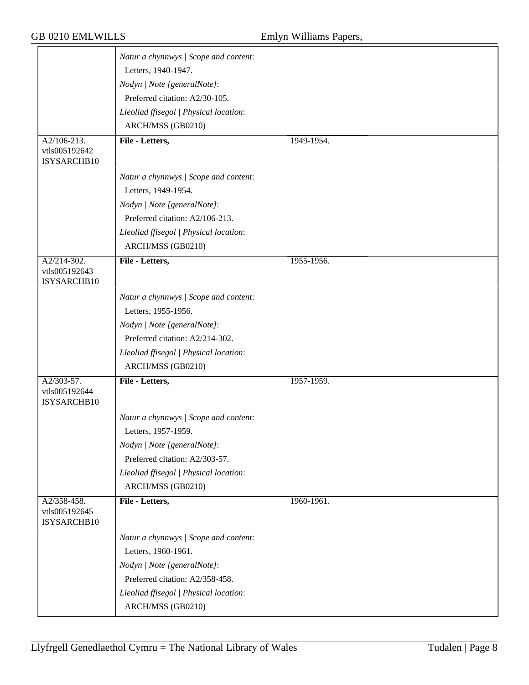|                                             | Natur a chynnwys / Scope and content:              |            |
|---------------------------------------------|----------------------------------------------------|------------|
|                                             | Letters, 1940-1947.<br>Nodyn   Note [generalNote]: |            |
|                                             | Preferred citation: A2/30-105.                     |            |
|                                             | Lleoliad ffisegol   Physical location:             |            |
|                                             | ARCH/MSS (GB0210)                                  |            |
| $A2/106-213.$                               | File - Letters,                                    | 1949-1954. |
| vtls005192642<br>ISYSARCHB10                |                                                    |            |
|                                             | Natur a chynnwys / Scope and content:              |            |
|                                             | Letters, 1949-1954.                                |            |
|                                             | Nodyn   Note [generalNote]:                        |            |
|                                             | Preferred citation: A2/106-213.                    |            |
|                                             | Lleoliad ffisegol   Physical location:             |            |
|                                             | ARCH/MSS (GB0210)                                  |            |
| A2/214-302.<br>vtls005192643<br>ISYSARCHB10 | File - Letters,                                    | 1955-1956. |
|                                             | Natur a chynnwys / Scope and content:              |            |
|                                             | Letters, 1955-1956.                                |            |
|                                             | Nodyn   Note [generalNote]:                        |            |
|                                             | Preferred citation: A2/214-302.                    |            |
|                                             | Lleoliad ffisegol   Physical location:             |            |
|                                             | ARCH/MSS (GB0210)                                  |            |
| A2/303-57.                                  | File - Letters,                                    | 1957-1959. |
| vtls005192644<br>ISYSARCHB10                |                                                    |            |
|                                             | Natur a chynnwys / Scope and content:              |            |
|                                             | Letters, 1957-1959.                                |            |
|                                             | Nodyn   Note [generalNote]:                        |            |
|                                             | Preferred citation: A2/303-57.                     |            |
|                                             | Lleoliad ffisegol   Physical location:             |            |
|                                             | ARCH/MSS (GB0210)                                  |            |
| A2/358-458.<br>vtls005192645<br>ISYSARCHB10 | File - Letters,                                    | 1960-1961. |
|                                             | Natur a chynnwys / Scope and content:              |            |
|                                             | Letters, 1960-1961.                                |            |
|                                             | Nodyn   Note [generalNote]:                        |            |
|                                             | Preferred citation: A2/358-458.                    |            |
|                                             | Lleoliad ffisegol   Physical location:             |            |
|                                             | ARCH/MSS (GB0210)                                  |            |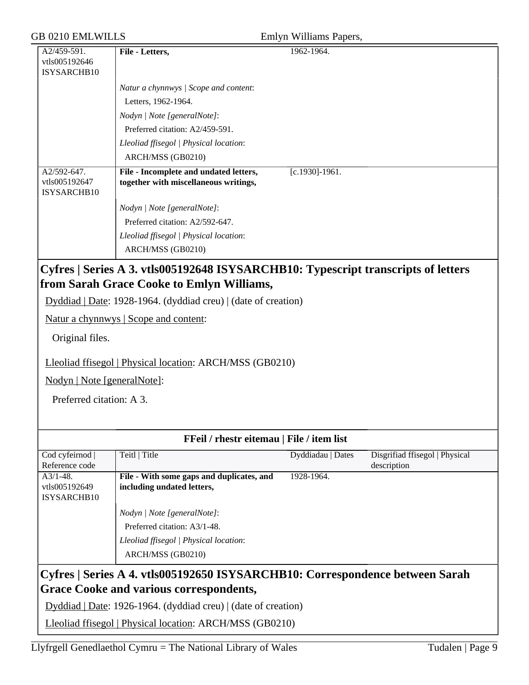### GB 0210 EMLWILLS

| Emlyn Williams Papers, |  |  |
|------------------------|--|--|
|                        |  |  |

| A2/459-591.                                 | File - Letters,                                                                 | 1962-1964.         |
|---------------------------------------------|---------------------------------------------------------------------------------|--------------------|
| vtls005192646                               |                                                                                 |                    |
| ISYSARCHB10                                 |                                                                                 |                    |
|                                             | Natur a chynnwys / Scope and content:                                           |                    |
|                                             | Letters, 1962-1964.                                                             |                    |
|                                             | Nodyn   Note [generalNote]:                                                     |                    |
|                                             | Preferred citation: A2/459-591.                                                 |                    |
|                                             | Lleoliad ffisegol   Physical location:                                          |                    |
|                                             | ARCH/MSS (GB0210)                                                               |                    |
| A2/592-647.<br>vtls005192647<br>ISYSARCHB10 | File - Incomplete and undated letters,<br>together with miscellaneous writings, | $[c.1930] - 1961.$ |
|                                             | Nodyn   Note [generalNote]:                                                     |                    |
|                                             | Preferred citation: A2/592-647.                                                 |                    |
|                                             | Lleoliad ffisegol   Physical location:<br>ARCH/MSS (GB0210)                     |                    |
| $\sim$ $\sim$                               |                                                                                 | .                  |

# **Cyfres | Series A 3. vtls005192648 ISYSARCHB10: Typescript transcripts of letters from Sarah Grace Cooke to Emlyn Williams,**

Dyddiad | Date: 1928-1964. (dyddiad creu) | (date of creation)

Natur a chynnwys | Scope and content:

Original files.

Lleoliad ffisegol | Physical location: ARCH/MSS (GB0210)

Nodyn | Note [generalNote]:

Preferred citation: A 3.

| <b>FFeil</b> / rhestr eitemau   File / item list                             |                                           |                   |                                |  |
|------------------------------------------------------------------------------|-------------------------------------------|-------------------|--------------------------------|--|
| Cod cyfeirnod                                                                | Teitl   Title                             | Dyddiadau   Dates | Disgrifiad ffisegol   Physical |  |
| Reference code                                                               |                                           |                   | description                    |  |
| $A3/1-48$ .                                                                  | File - With some gaps and duplicates, and | 1928-1964.        |                                |  |
| vtls005192649                                                                | including undated letters,                |                   |                                |  |
| ISYSARCHB10                                                                  |                                           |                   |                                |  |
|                                                                              | Nodyn   Note [generalNote]:               |                   |                                |  |
|                                                                              | Preferred citation: A3/1-48.              |                   |                                |  |
|                                                                              | Lleoliad ffisegol   Physical location:    |                   |                                |  |
|                                                                              | ARCH/MSS (GB0210)                         |                   |                                |  |
| Cyfres   Series A 4. vtls005192650 ISYSARCHB10: Correspondence between Sarah |                                           |                   |                                |  |
| <b>Grace Cooke and various correspondents,</b>                               |                                           |                   |                                |  |
| Dyddiad   Date: 1926-1964. (dyddiad creu)   (date of creation)               |                                           |                   |                                |  |

Lleoliad ffisegol | Physical location: ARCH/MSS (GB0210)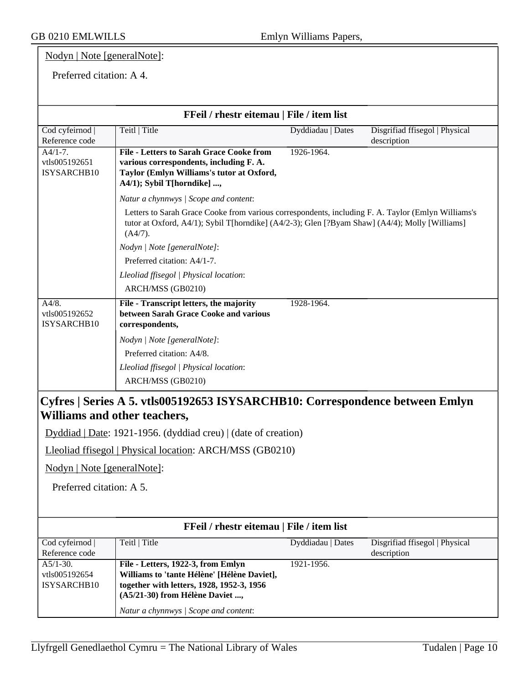# Nodyn | Note [generalNote]:

### Preferred citation: A 4.

| FFeil / rhestr eitemau   File / item list                                    |                                                                                                                                                                                                                 |                   |                                               |  |
|------------------------------------------------------------------------------|-----------------------------------------------------------------------------------------------------------------------------------------------------------------------------------------------------------------|-------------------|-----------------------------------------------|--|
| Cod cyfeirnod  <br>Reference code                                            | Teitl   Title                                                                                                                                                                                                   | Dyddiadau   Dates | Disgrifiad ffisegol   Physical<br>description |  |
| $A4/1-7.$<br>vtls005192651<br>ISYSARCHB10                                    | <b>File - Letters to Sarah Grace Cooke from</b><br>various correspondents, including F. A.<br>Taylor (Emlyn Williams's tutor at Oxford,<br>A4/1); Sybil T[horndike] ,                                           | 1926-1964.        |                                               |  |
|                                                                              | Natur a chynnwys / Scope and content:                                                                                                                                                                           |                   |                                               |  |
|                                                                              | Letters to Sarah Grace Cooke from various correspondents, including F. A. Taylor (Emlyn Williams's<br>tutor at Oxford, A4/1); Sybil T[horndike] (A4/2-3); Glen [?Byam Shaw] (A4/4); Molly [Williams]<br>(A4/7). |                   |                                               |  |
|                                                                              | Nodyn   Note [generalNote]:                                                                                                                                                                                     |                   |                                               |  |
|                                                                              | Preferred citation: A4/1-7.                                                                                                                                                                                     |                   |                                               |  |
|                                                                              | Lleoliad ffisegol   Physical location:                                                                                                                                                                          |                   |                                               |  |
|                                                                              | ARCH/MSS (GB0210)                                                                                                                                                                                               |                   |                                               |  |
| A4/8.<br>vtls005192652<br>ISYSARCHB10                                        | File - Transcript letters, the majority<br>between Sarah Grace Cooke and various<br>correspondents,                                                                                                             | 1928-1964.        |                                               |  |
|                                                                              | Nodyn   Note [generalNote]:                                                                                                                                                                                     |                   |                                               |  |
|                                                                              | Preferred citation: A4/8.                                                                                                                                                                                       |                   |                                               |  |
|                                                                              | Lleoliad ffisegol   Physical location:                                                                                                                                                                          |                   |                                               |  |
|                                                                              | ARCH/MSS (GB0210)                                                                                                                                                                                               |                   |                                               |  |
| Cyfres   Series A 5. vtls005192653 ISYSARCHB10: Correspondence between Emlyn |                                                                                                                                                                                                                 |                   |                                               |  |
|                                                                              | Williams and other teachers,                                                                                                                                                                                    |                   |                                               |  |
|                                                                              | Dyddiad   Date: 1921-1956. (dyddiad creu)   (date of creation)                                                                                                                                                  |                   |                                               |  |
|                                                                              | Lleoliad ffisegol   Physical location: ARCH/MSS (GB0210)                                                                                                                                                        |                   |                                               |  |
| Nodyn   Note [generalNote]:                                                  |                                                                                                                                                                                                                 |                   |                                               |  |
| Preferred citation: A 5.                                                     |                                                                                                                                                                                                                 |                   |                                               |  |
|                                                                              |                                                                                                                                                                                                                 |                   |                                               |  |
|                                                                              | FFeil / rhestr eitemau   File / item list                                                                                                                                                                       |                   |                                               |  |
| Cod cyfeirnod<br>Reference code                                              | Teitl   Title                                                                                                                                                                                                   | Dyddiadau   Dates | Disgrifiad ffisegol   Physical<br>description |  |

| Cod cyfeirnod  | Teitl   Title                               | Dyddiadau   Dates | Disgrifiad ffisegol   Physical |
|----------------|---------------------------------------------|-------------------|--------------------------------|
| Reference code |                                             |                   | description                    |
| $A5/1-30.$     | File - Letters, 1922-3, from Emlyn          | 1921-1956.        |                                |
| vtls005192654  | Williams to 'tante Hélène' [Hélène Daviet], |                   |                                |
| ISYSARCHB10    | together with letters, 1928, 1952-3, 1956   |                   |                                |
|                | (A5/21-30) from Hélène Daviet ,             |                   |                                |
|                | Natur a chynnwys / Scope and content:       |                   |                                |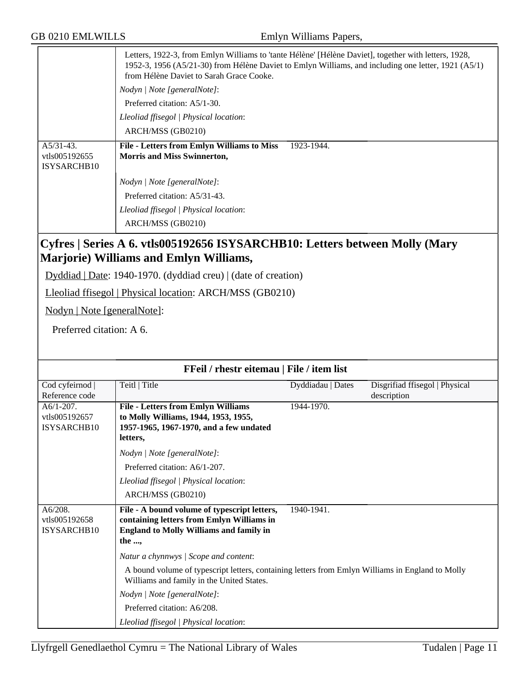|                                             | Letters, 1922-3, from Emlyn Williams to 'tante Hélène' [Hélène Daviet], together with letters, 1928,<br>1952-3, 1956 (A5/21-30) from Hélène Daviet to Emlyn Williams, and including one letter, 1921 (A5/1)<br>from Hélène Daviet to Sarah Grace Cooke. |  |  |  |
|---------------------------------------------|---------------------------------------------------------------------------------------------------------------------------------------------------------------------------------------------------------------------------------------------------------|--|--|--|
|                                             | Nodyn / Note [generalNote]:                                                                                                                                                                                                                             |  |  |  |
|                                             | Preferred citation: A5/1-30.                                                                                                                                                                                                                            |  |  |  |
|                                             | Lleoliad ffisegol   Physical location:                                                                                                                                                                                                                  |  |  |  |
|                                             | ARCH/MSS (GB0210)                                                                                                                                                                                                                                       |  |  |  |
| $A5/31-43.$<br>vtls005192655<br>ISYSARCHB10 | <b>File - Letters from Emlyn Williams to Miss</b><br>1923-1944.<br><b>Morris and Miss Swinnerton,</b>                                                                                                                                                   |  |  |  |
|                                             | Nodyn   Note [generalNote]:                                                                                                                                                                                                                             |  |  |  |
|                                             | Preferred citation: A5/31-43.                                                                                                                                                                                                                           |  |  |  |
|                                             | Lleoliad ffisegol   Physical location:<br>ARCH/MSS (GB0210)                                                                                                                                                                                             |  |  |  |

# **Cyfres | Series A 6. vtls005192656 ISYSARCHB10: Letters between Molly (Mary Marjorie) Williams and Emlyn Williams,**

Dyddiad | Date: 1940-1970. (dyddiad creu) | (date of creation)

Lleoliad ffisegol | Physical location: ARCH/MSS (GB0210)

Nodyn | Note [generalNote]:

Preferred citation: A 6.

| <b>FFeil</b> / rhestr eitemau   File / item list |                                                                                                                                                                                        |                   |                                               |  |
|--------------------------------------------------|----------------------------------------------------------------------------------------------------------------------------------------------------------------------------------------|-------------------|-----------------------------------------------|--|
| Cod cyfeirnod  <br>Reference code                | Teitl   Title                                                                                                                                                                          | Dyddiadau   Dates | Disgrifiad ffisegol   Physical<br>description |  |
| $A6/1-207$ .<br>vtls005192657<br>ISYSARCHB10     | <b>File - Letters from Emlyn Williams</b><br>to Molly Williams, 1944, 1953, 1955,<br>1957-1965, 1967-1970, and a few undated<br>letters,                                               | 1944-1970.        |                                               |  |
|                                                  | Nodyn   Note [generalNote]:<br>Preferred citation: A6/1-207.<br>Lleoliad ffisegol   Physical location:<br>ARCH/MSS (GB0210)                                                            |                   |                                               |  |
| A6/208.<br>vtls005192658<br>ISYSARCHB10          | File - A bound volume of typescript letters,<br>containing letters from Emlyn Williams in<br><b>England to Molly Williams and family in</b><br>the ,                                   | 1940-1941.        |                                               |  |
|                                                  | Natur a chynnwys / Scope and content:<br>A bound volume of typescript letters, containing letters from Emlyn Williams in England to Molly<br>Williams and family in the United States. |                   |                                               |  |
|                                                  | Nodyn   Note [generalNote]:                                                                                                                                                            |                   |                                               |  |
|                                                  | Preferred citation: A6/208.<br>Lleoliad ffisegol   Physical location:                                                                                                                  |                   |                                               |  |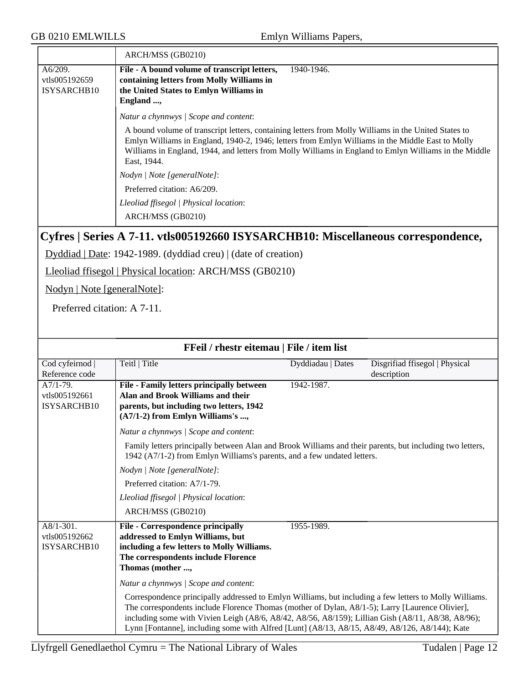|                          | ARCH/MSS (GB0210)                                                                                                                                                                                                                                                                                                                |
|--------------------------|----------------------------------------------------------------------------------------------------------------------------------------------------------------------------------------------------------------------------------------------------------------------------------------------------------------------------------|
| A6/209.<br>vtls005192659 | File - A bound volume of transcript letters,<br>1940-1946.<br>containing letters from Molly Williams in                                                                                                                                                                                                                          |
| ISYSARCHB10              | the United States to Emlyn Williams in                                                                                                                                                                                                                                                                                           |
|                          | England ,<br>Natur a chynnwys   Scope and content:                                                                                                                                                                                                                                                                               |
|                          | A bound volume of transcript letters, containing letters from Molly Williams in the United States to<br>Emlyn Williams in England, 1940-2, 1946; letters from Emlyn Williams in the Middle East to Molly<br>Williams in England, 1944, and letters from Molly Williams in England to Emlyn Williams in the Middle<br>East, 1944. |
|                          | Nodyn / Note [generalNote]:                                                                                                                                                                                                                                                                                                      |
|                          | Preferred citation: A6/209.                                                                                                                                                                                                                                                                                                      |
|                          | Lleoliad ffisegol   Physical location:<br>ARCH/MSS (GB0210)                                                                                                                                                                                                                                                                      |

# **Cyfres | Series A 7-11. vtls005192660 ISYSARCHB10: Miscellaneous correspondence,**

Dyddiad | Date: 1942-1989. (dyddiad creu) | (date of creation)

Lleoliad ffisegol | Physical location: ARCH/MSS (GB0210)

Nodyn | Note [generalNote]:

Preferred citation: A 7-11.

| FFeil / rhestr eitemau   File / item list    |                                                                                                                                                                                                                                                                                                                                                                                                                   |                   |                                               |
|----------------------------------------------|-------------------------------------------------------------------------------------------------------------------------------------------------------------------------------------------------------------------------------------------------------------------------------------------------------------------------------------------------------------------------------------------------------------------|-------------------|-----------------------------------------------|
| Cod cyfeirnod  <br>Reference code            | Teitl   Title                                                                                                                                                                                                                                                                                                                                                                                                     | Dyddiadau   Dates | Disgrifiad ffisegol   Physical<br>description |
| $A7/1-79.$<br>vtls005192661<br>ISYSARCHB10   | File - Family letters principally between<br>Alan and Brook Williams and their<br>parents, but including two letters, 1942<br>(A7/1-2) from Emlyn Williams's ,<br>Natur a chynnwys / Scope and content:                                                                                                                                                                                                           | 1942-1987.        |                                               |
|                                              | Family letters principally between Alan and Brook Williams and their parents, but including two letters,<br>1942 (A7/1-2) from Emlyn Williams's parents, and a few undated letters.                                                                                                                                                                                                                               |                   |                                               |
|                                              | Nodyn   Note [generalNote]:                                                                                                                                                                                                                                                                                                                                                                                       |                   |                                               |
|                                              | Preferred citation: A7/1-79.                                                                                                                                                                                                                                                                                                                                                                                      |                   |                                               |
|                                              | Lleoliad ffisegol   Physical location:                                                                                                                                                                                                                                                                                                                                                                            |                   |                                               |
|                                              | ARCH/MSS (GB0210)                                                                                                                                                                                                                                                                                                                                                                                                 |                   |                                               |
| $A8/1-301$ .<br>vtls005192662<br>ISYSARCHB10 | <b>File - Correspondence principally</b><br>addressed to Emlyn Williams, but<br>including a few letters to Molly Williams.<br>The correspondents include Florence<br>Thomas (mother ,                                                                                                                                                                                                                             | 1955-1989.        |                                               |
|                                              | Natur a chynnwys / Scope and content:                                                                                                                                                                                                                                                                                                                                                                             |                   |                                               |
|                                              | Correspondence principally addressed to Emlyn Williams, but including a few letters to Molly Williams.<br>The correspondents include Florence Thomas (mother of Dylan, A8/1-5); Larry [Laurence Olivier],<br>including some with Vivien Leigh (A8/6, A8/42, A8/56, A8/159); Lillian Gish (A8/11, A8/38, A8/96);<br>Lynn [Fontanne], including some with Alfred [Lunt] (A8/13, A8/15, A8/49, A8/126, A8/144); Kate |                   |                                               |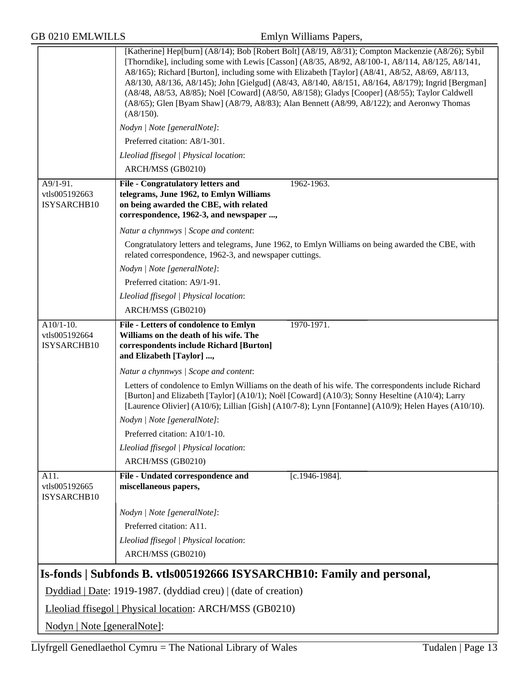|                                             | [Katherine] Hep[burn] (A8/14); Bob [Robert Bolt] (A8/19, A8/31); Compton Mackenzie (A8/26); Sybil<br>[Thorndike], including some with Lewis [Casson] (A8/35, A8/92, A8/100-1, A8/114, A8/125, A8/141,<br>A8/165); Richard [Burton], including some with Elizabeth [Taylor] (A8/41, A8/52, A8/69, A8/113,<br>A8/130, A8/136, A8/145); John [Gielgud] (A8/43, A8/140, A8/151, A8/164, A8/179); Ingrid [Bergman]<br>(A8/48, A8/53, A8/85); Noël [Coward] (A8/50, A8/158); Gladys [Cooper] (A8/55); Taylor Caldwell<br>(A8/65); Glen [Byam Shaw] (A8/79, A8/83); Alan Bennett (A8/99, A8/122); and Aeronwy Thomas<br>(A8/150). |
|---------------------------------------------|----------------------------------------------------------------------------------------------------------------------------------------------------------------------------------------------------------------------------------------------------------------------------------------------------------------------------------------------------------------------------------------------------------------------------------------------------------------------------------------------------------------------------------------------------------------------------------------------------------------------------|
|                                             | Nodyn   Note [generalNote]:                                                                                                                                                                                                                                                                                                                                                                                                                                                                                                                                                                                                |
|                                             | Preferred citation: A8/1-301.                                                                                                                                                                                                                                                                                                                                                                                                                                                                                                                                                                                              |
|                                             | Lleoliad ffisegol   Physical location:                                                                                                                                                                                                                                                                                                                                                                                                                                                                                                                                                                                     |
|                                             | ARCH/MSS (GB0210)                                                                                                                                                                                                                                                                                                                                                                                                                                                                                                                                                                                                          |
| A9/1-91.<br>vtls005192663<br>ISYSARCHB10    | 1962-1963.<br><b>File - Congratulatory letters and</b><br>telegrams, June 1962, to Emlyn Williams<br>on being awarded the CBE, with related<br>correspondence, 1962-3, and newspaper ,                                                                                                                                                                                                                                                                                                                                                                                                                                     |
|                                             | Natur a chynnwys / Scope and content:                                                                                                                                                                                                                                                                                                                                                                                                                                                                                                                                                                                      |
|                                             | Congratulatory letters and telegrams, June 1962, to Emlyn Williams on being awarded the CBE, with<br>related correspondence, 1962-3, and newspaper cuttings.                                                                                                                                                                                                                                                                                                                                                                                                                                                               |
|                                             | Nodyn   Note [generalNote]:                                                                                                                                                                                                                                                                                                                                                                                                                                                                                                                                                                                                |
|                                             | Preferred citation: A9/1-91.                                                                                                                                                                                                                                                                                                                                                                                                                                                                                                                                                                                               |
|                                             | Lleoliad ffisegol   Physical location:                                                                                                                                                                                                                                                                                                                                                                                                                                                                                                                                                                                     |
|                                             | ARCH/MSS (GB0210)                                                                                                                                                                                                                                                                                                                                                                                                                                                                                                                                                                                                          |
| $A10/1-10.$<br>vtls005192664<br>ISYSARCHB10 | 1970-1971.<br>File - Letters of condolence to Emlyn<br>Williams on the death of his wife. The<br>correspondents include Richard [Burton]<br>and Elizabeth [Taylor] ,                                                                                                                                                                                                                                                                                                                                                                                                                                                       |
|                                             | Natur a chynnwys / Scope and content:                                                                                                                                                                                                                                                                                                                                                                                                                                                                                                                                                                                      |
|                                             | Letters of condolence to Emlyn Williams on the death of his wife. The correspondents include Richard<br>[Burton] and Elizabeth [Taylor] (A10/1); Noël [Coward] (A10/3); Sonny Heseltine (A10/4); Larry<br>[Laurence Olivier] (A10/6); Lillian [Gish] (A10/7-8); Lynn [Fontanne] (A10/9); Helen Hayes (A10/10).                                                                                                                                                                                                                                                                                                             |
|                                             | Nodyn   Note [generalNote]:                                                                                                                                                                                                                                                                                                                                                                                                                                                                                                                                                                                                |
|                                             | Preferred citation: A10/1-10.                                                                                                                                                                                                                                                                                                                                                                                                                                                                                                                                                                                              |
|                                             | Lleoliad ffisegol   Physical location:                                                                                                                                                                                                                                                                                                                                                                                                                                                                                                                                                                                     |
|                                             | ARCH/MSS (GB0210)                                                                                                                                                                                                                                                                                                                                                                                                                                                                                                                                                                                                          |
| A11.<br>vtls005192665<br>ISYSARCHB10        | File - Undated correspondence and<br>$[c.1946-1984]$ .<br>miscellaneous papers,                                                                                                                                                                                                                                                                                                                                                                                                                                                                                                                                            |
|                                             | Nodyn   Note [generalNote]:                                                                                                                                                                                                                                                                                                                                                                                                                                                                                                                                                                                                |
|                                             | Preferred citation: A11.                                                                                                                                                                                                                                                                                                                                                                                                                                                                                                                                                                                                   |
|                                             | Lleoliad ffisegol   Physical location:                                                                                                                                                                                                                                                                                                                                                                                                                                                                                                                                                                                     |
|                                             | ARCH/MSS (GB0210)                                                                                                                                                                                                                                                                                                                                                                                                                                                                                                                                                                                                          |
|                                             | Is-fonds   Subfonds B. vtls005192666 ISYSARCHB10: Family and personal,                                                                                                                                                                                                                                                                                                                                                                                                                                                                                                                                                     |
|                                             | Dyddiad   Date: 1919-1987. (dyddiad creu)   (date of creation)                                                                                                                                                                                                                                                                                                                                                                                                                                                                                                                                                             |
|                                             | Lleoliad ffisegol   Physical location: ARCH/MSS (GB0210)                                                                                                                                                                                                                                                                                                                                                                                                                                                                                                                                                                   |
| Nodyn   Note [generalNote]:                 |                                                                                                                                                                                                                                                                                                                                                                                                                                                                                                                                                                                                                            |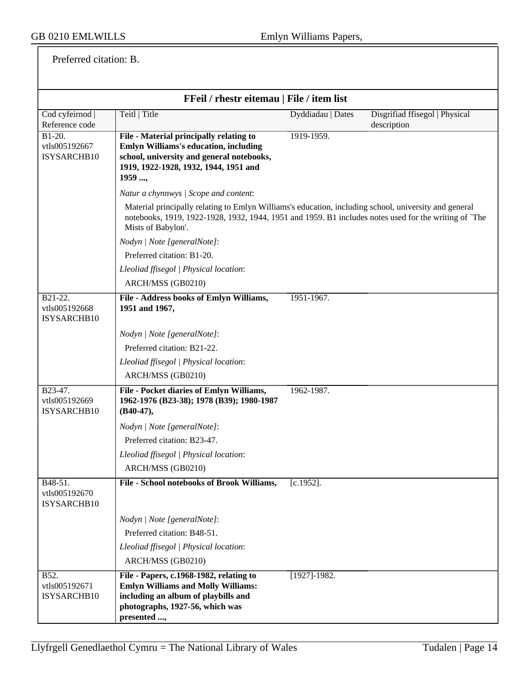Preferred citation: B.

| FFeil / rhestr eitemau   File / item list |                                                                                                                                                                                                                                      |                            |                                               |
|-------------------------------------------|--------------------------------------------------------------------------------------------------------------------------------------------------------------------------------------------------------------------------------------|----------------------------|-----------------------------------------------|
| Cod cyfeirnod  <br>Reference code         | Teitl   Title                                                                                                                                                                                                                        | Dyddiadau   Dates          | Disgrifiad ffisegol   Physical<br>description |
| $B1-20.$<br>vtls005192667<br>ISYSARCHB10  | File - Material principally relating to<br><b>Emlyn Williams's education, including</b><br>school, university and general notebooks,<br>1919, 1922-1928, 1932, 1944, 1951 and<br>1959 ,                                              | 1919-1959.                 |                                               |
|                                           | Natur a chynnwys / Scope and content:                                                                                                                                                                                                |                            |                                               |
|                                           | Material principally relating to Emlyn Williams's education, including school, university and general<br>notebooks, 1919, 1922-1928, 1932, 1944, 1951 and 1959. B1 includes notes used for the writing of 'The<br>Mists of Babylon'. |                            |                                               |
|                                           | Nodyn   Note [generalNote]:                                                                                                                                                                                                          |                            |                                               |
|                                           | Preferred citation: B1-20.                                                                                                                                                                                                           |                            |                                               |
|                                           | Lleoliad ffisegol   Physical location:                                                                                                                                                                                               |                            |                                               |
|                                           | ARCH/MSS (GB0210)                                                                                                                                                                                                                    |                            |                                               |
| B21-22.<br>vtls005192668<br>ISYSARCHB10   | File - Address books of Emlyn Williams,<br>1951 and 1967,                                                                                                                                                                            | 1951-1967.                 |                                               |
|                                           | Nodyn   Note [generalNote]:                                                                                                                                                                                                          |                            |                                               |
|                                           | Preferred citation: B21-22.                                                                                                                                                                                                          |                            |                                               |
|                                           | Lleoliad ffisegol   Physical location:                                                                                                                                                                                               |                            |                                               |
|                                           | ARCH/MSS (GB0210)                                                                                                                                                                                                                    |                            |                                               |
| B23-47.<br>vtls005192669<br>ISYSARCHB10   | File - Pocket diaries of Emlyn Williams,<br>1962-1976 (B23-38); 1978 (B39); 1980-1987<br>$(B40-47),$                                                                                                                                 | 1962-1987.                 |                                               |
|                                           | Nodyn   Note [generalNote]:                                                                                                                                                                                                          |                            |                                               |
|                                           | Preferred citation: B23-47.                                                                                                                                                                                                          |                            |                                               |
|                                           | Lleoliad ffisegol   Physical location:                                                                                                                                                                                               |                            |                                               |
|                                           | ARCH/MSS (GB0210)                                                                                                                                                                                                                    |                            |                                               |
| B48-51.<br>vtls005192670<br>ISYSARCHB10   | File - School notebooks of Brook Williams,                                                                                                                                                                                           | $[c.1952]$ .               |                                               |
|                                           | Nodyn   Note [generalNote]:                                                                                                                                                                                                          |                            |                                               |
|                                           | Preferred citation: B48-51.                                                                                                                                                                                                          |                            |                                               |
|                                           | Lleoliad ffisegol   Physical location:                                                                                                                                                                                               |                            |                                               |
|                                           | ARCH/MSS (GB0210)                                                                                                                                                                                                                    |                            |                                               |
| B52.<br>vtls005192671<br>ISYSARCHB10      | File - Papers, c.1968-1982, relating to<br><b>Emlyn Williams and Molly Williams:</b><br>including an album of playbills and<br>photographs, 1927-56, which was<br>presented ,                                                        | $[1\overline{927}]$ -1982. |                                               |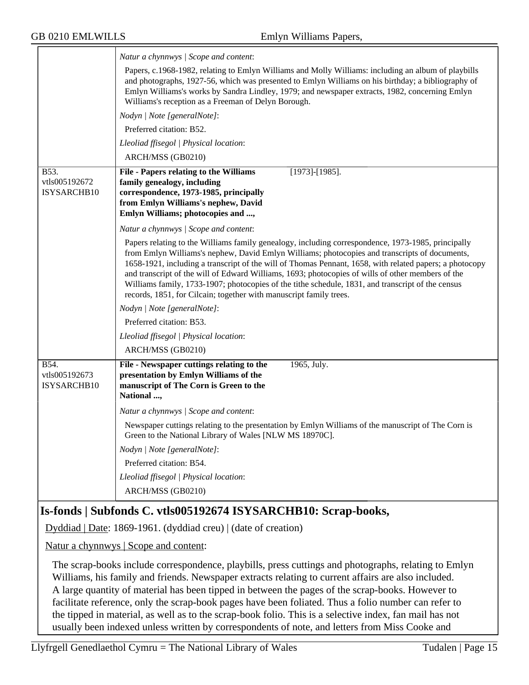| Papers, c.1968-1982, relating to Emlyn Williams and Molly Williams: including an album of playbills<br>and photographs, 1927-56, which was presented to Emlyn Williams on his birthday; a bibliography of<br>Emlyn Williams's works by Sandra Lindley, 1979; and newspaper extracts, 1982, concerning Emlyn    |
|----------------------------------------------------------------------------------------------------------------------------------------------------------------------------------------------------------------------------------------------------------------------------------------------------------------|
|                                                                                                                                                                                                                                                                                                                |
|                                                                                                                                                                                                                                                                                                                |
|                                                                                                                                                                                                                                                                                                                |
|                                                                                                                                                                                                                                                                                                                |
|                                                                                                                                                                                                                                                                                                                |
|                                                                                                                                                                                                                                                                                                                |
| Papers relating to the Williams family genealogy, including correspondence, 1973-1985, principally<br>from Emlyn Williams's nephew, David Emlyn Williams; photocopies and transcripts of documents,<br>1658-1921, including a transcript of the will of Thomas Pennant, 1658, with related papers; a photocopy |
|                                                                                                                                                                                                                                                                                                                |
|                                                                                                                                                                                                                                                                                                                |
|                                                                                                                                                                                                                                                                                                                |
|                                                                                                                                                                                                                                                                                                                |
|                                                                                                                                                                                                                                                                                                                |
|                                                                                                                                                                                                                                                                                                                |
| Newspaper cuttings relating to the presentation by Emlyn Williams of the manuscript of The Corn is                                                                                                                                                                                                             |
|                                                                                                                                                                                                                                                                                                                |
|                                                                                                                                                                                                                                                                                                                |
|                                                                                                                                                                                                                                                                                                                |
|                                                                                                                                                                                                                                                                                                                |
| and transcript of the will of Edward Williams, 1693; photocopies of wills of other members of the                                                                                                                                                                                                              |

# **Is-fonds | Subfonds C. vtls005192674 ISYSARCHB10: Scrap-books,**

Dyddiad | Date: 1869-1961. (dyddiad creu) | (date of creation)

Natur a chynnwys | Scope and content:

The scrap-books include correspondence, playbills, press cuttings and photographs, relating to Emlyn Williams, his family and friends. Newspaper extracts relating to current affairs are also included. A large quantity of material has been tipped in between the pages of the scrap-books. However to facilitate reference, only the scrap-book pages have been foliated. Thus a folio number can refer to the tipped in material, as well as to the scrap-book folio. This is a selective index, fan mail has not usually been indexed unless written by correspondents of note, and letters from Miss Cooke and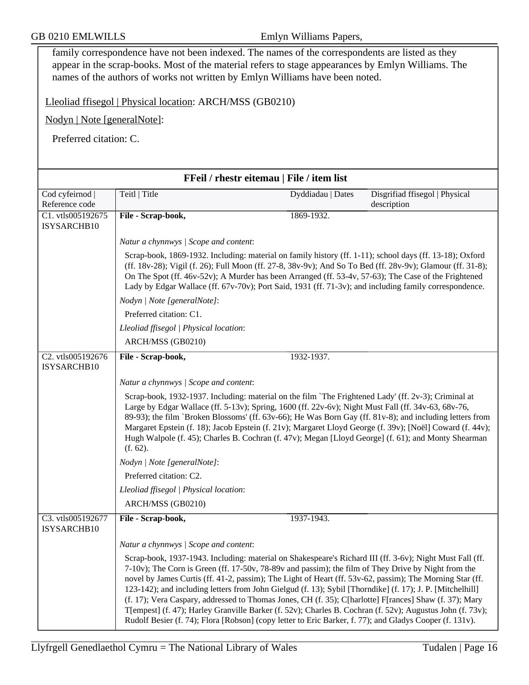family correspondence have not been indexed. The names of the correspondents are listed as they appear in the scrap-books. Most of the material refers to stage appearances by Emlyn Williams. The names of the authors of works not written by Emlyn Williams have been noted.

Lleoliad ffisegol | Physical location: ARCH/MSS (GB0210)

Nodyn | Note [generalNote]:

Preferred citation: C.

| FFeil / rhestr eitemau   File / item list |                                                                                                                                                                                                                                                                                                                                                                                                                                                                                                                                                                                                                                                                                                                                                                            |                   |                                               |
|-------------------------------------------|----------------------------------------------------------------------------------------------------------------------------------------------------------------------------------------------------------------------------------------------------------------------------------------------------------------------------------------------------------------------------------------------------------------------------------------------------------------------------------------------------------------------------------------------------------------------------------------------------------------------------------------------------------------------------------------------------------------------------------------------------------------------------|-------------------|-----------------------------------------------|
| Cod cyfeirnod  <br>Reference code         | Teitl   Title                                                                                                                                                                                                                                                                                                                                                                                                                                                                                                                                                                                                                                                                                                                                                              | Dyddiadau   Dates | Disgrifiad ffisegol   Physical<br>description |
| C1. vtls005192675<br>ISYSARCHB10          | File - Scrap-book,                                                                                                                                                                                                                                                                                                                                                                                                                                                                                                                                                                                                                                                                                                                                                         | 1869-1932.        |                                               |
|                                           | Natur a chynnwys / Scope and content:                                                                                                                                                                                                                                                                                                                                                                                                                                                                                                                                                                                                                                                                                                                                      |                   |                                               |
|                                           | Scrap-book, 1869-1932. Including: material on family history (ff. 1-11); school days (ff. 13-18); Oxford<br>(ff. 18v-28); Vigil (f. 26); Full Moon (ff. 27-8, 38v-9v); And So To Bed (ff. 28v-9v); Glamour (ff. 31-8);<br>On The Spot (ff. $46v-52v$ ); A Murder has been Arranged (ff. 53-4v, 57-63); The Case of the Frightened<br>Lady by Edgar Wallace (ff. 67v-70v); Port Said, 1931 (ff. 71-3v); and including family correspondence.                                                                                                                                                                                                                                                                                                                                |                   |                                               |
|                                           | Nodyn   Note [generalNote]:                                                                                                                                                                                                                                                                                                                                                                                                                                                                                                                                                                                                                                                                                                                                                |                   |                                               |
|                                           | Preferred citation: C1.                                                                                                                                                                                                                                                                                                                                                                                                                                                                                                                                                                                                                                                                                                                                                    |                   |                                               |
|                                           | Lleoliad ffisegol   Physical location:                                                                                                                                                                                                                                                                                                                                                                                                                                                                                                                                                                                                                                                                                                                                     |                   |                                               |
|                                           | ARCH/MSS (GB0210)                                                                                                                                                                                                                                                                                                                                                                                                                                                                                                                                                                                                                                                                                                                                                          |                   |                                               |
| C2. vtls005192676<br>ISYSARCHB10          | File - Scrap-book,                                                                                                                                                                                                                                                                                                                                                                                                                                                                                                                                                                                                                                                                                                                                                         | 1932-1937.        |                                               |
|                                           | Natur a chynnwys / Scope and content:                                                                                                                                                                                                                                                                                                                                                                                                                                                                                                                                                                                                                                                                                                                                      |                   |                                               |
|                                           | Scrap-book, 1932-1937. Including: material on the film `The Frightened Lady' (ff. 2v-3); Criminal at<br>Large by Edgar Wallace (ff. 5-13v); Spring, 1600 (ff. 22v-6v); Night Must Fall (ff. 34v-63, 68v-76,<br>89-93); the film `Broken Blossoms' (ff. 63v-66); He Was Born Gay (ff. 81v-8); and including letters from<br>Margaret Epstein (f. 18); Jacob Epstein (f. 21v); Margaret Lloyd George (f. 39v); [Noël] Coward (f. 44v);<br>Hugh Walpole (f. 45); Charles B. Cochran (f. 47v); Megan [Lloyd George] (f. 61); and Monty Shearman<br>(f. 62).                                                                                                                                                                                                                    |                   |                                               |
|                                           | Nodyn   Note [generalNote]:                                                                                                                                                                                                                                                                                                                                                                                                                                                                                                                                                                                                                                                                                                                                                |                   |                                               |
|                                           | Preferred citation: C2.                                                                                                                                                                                                                                                                                                                                                                                                                                                                                                                                                                                                                                                                                                                                                    |                   |                                               |
|                                           | Lleoliad ffisegol   Physical location:                                                                                                                                                                                                                                                                                                                                                                                                                                                                                                                                                                                                                                                                                                                                     |                   |                                               |
|                                           | ARCH/MSS (GB0210)                                                                                                                                                                                                                                                                                                                                                                                                                                                                                                                                                                                                                                                                                                                                                          |                   |                                               |
| C3. vtls005192677<br>ISYSARCHB10          | File - Scrap-book,                                                                                                                                                                                                                                                                                                                                                                                                                                                                                                                                                                                                                                                                                                                                                         | 1937-1943.        |                                               |
|                                           | Natur a chynnwys / Scope and content:                                                                                                                                                                                                                                                                                                                                                                                                                                                                                                                                                                                                                                                                                                                                      |                   |                                               |
|                                           | Scrap-book, 1937-1943. Including: material on Shakespeare's Richard III (ff. 3-6v); Night Must Fall (ff.<br>7-10v); The Corn is Green (ff. 17-50v, 78-89v and passim); the film of They Drive by Night from the<br>novel by James Curtis (ff. 41-2, passim); The Light of Heart (ff. 53v-62, passim); The Morning Star (ff.<br>123-142); and including letters from John Gielgud (f. 13); Sybil [Thorndike] (f. 17); J. P. [Mitchelhill]<br>(f. 17); Vera Caspary, addressed to Thomas Jones, CH (f. 35); C[harlotte] F[rances] Shaw (f. 37); Mary<br>T[empest] (f. 47); Harley Granville Barker (f. 52v); Charles B. Cochran (f. 52v); Augustus John (f. 73v);<br>Rudolf Besier (f. 74); Flora [Robson] (copy letter to Eric Barker, f. 77); and Gladys Cooper (f. 131v). |                   |                                               |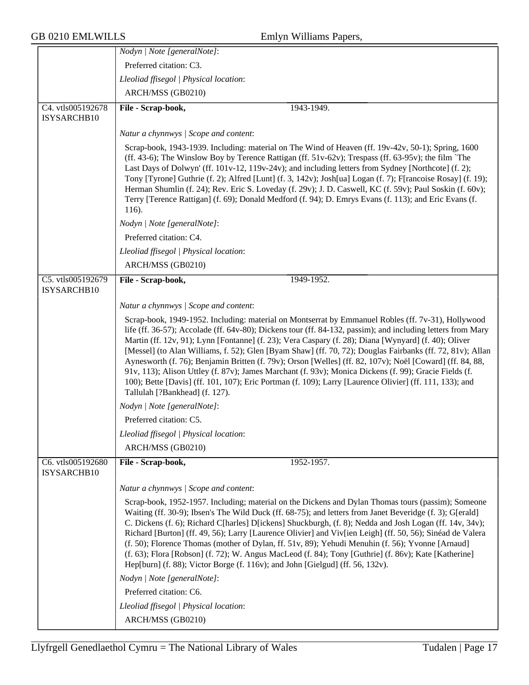|                                  | Nodyn   Note [generalNote]:                                                                                                                                                                                                                                                                                                                                                                                                                                                                                                                                                                                                                                                                                                                                                                              |
|----------------------------------|----------------------------------------------------------------------------------------------------------------------------------------------------------------------------------------------------------------------------------------------------------------------------------------------------------------------------------------------------------------------------------------------------------------------------------------------------------------------------------------------------------------------------------------------------------------------------------------------------------------------------------------------------------------------------------------------------------------------------------------------------------------------------------------------------------|
|                                  | Preferred citation: C3.                                                                                                                                                                                                                                                                                                                                                                                                                                                                                                                                                                                                                                                                                                                                                                                  |
|                                  | Lleoliad ffisegol   Physical location:                                                                                                                                                                                                                                                                                                                                                                                                                                                                                                                                                                                                                                                                                                                                                                   |
|                                  | ARCH/MSS (GB0210)                                                                                                                                                                                                                                                                                                                                                                                                                                                                                                                                                                                                                                                                                                                                                                                        |
| C4. vtls005192678<br>ISYSARCHB10 | File - Scrap-book,<br>1943-1949.                                                                                                                                                                                                                                                                                                                                                                                                                                                                                                                                                                                                                                                                                                                                                                         |
|                                  | Natur a chynnwys / Scope and content:                                                                                                                                                                                                                                                                                                                                                                                                                                                                                                                                                                                                                                                                                                                                                                    |
|                                  | Scrap-book, 1943-1939. Including: material on The Wind of Heaven (ff. 19v-42v, 50-1); Spring, 1600<br>(ff. 43-6); The Winslow Boy by Terence Rattigan (ff. $51v-62v$ ); Trespass (ff. 63-95v); the film 'The<br>Last Days of Dolwyn' (ff. 101v-12, 119v-24v); and including letters from Sydney [Northcote] (f. 2);<br>Tony [Tyrone] Guthrie (f. 2); Alfred [Lunt] (f. 3, 142v); Josh[ua] Logan (f. 7); F[rancoise Rosay] (f. 19);<br>Herman Shumlin (f. 24); Rev. Eric S. Loveday (f. 29v); J. D. Caswell, KC (f. 59v); Paul Soskin (f. 60v);<br>Terry [Terence Rattigan] (f. 69); Donald Medford (f. 94); D. Emrys Evans (f. 113); and Eric Evans (f.<br>116).                                                                                                                                         |
|                                  | Nodyn   Note [generalNote]:                                                                                                                                                                                                                                                                                                                                                                                                                                                                                                                                                                                                                                                                                                                                                                              |
|                                  | Preferred citation: C4.                                                                                                                                                                                                                                                                                                                                                                                                                                                                                                                                                                                                                                                                                                                                                                                  |
|                                  | Lleoliad ffisegol   Physical location:                                                                                                                                                                                                                                                                                                                                                                                                                                                                                                                                                                                                                                                                                                                                                                   |
|                                  | ARCH/MSS (GB0210)                                                                                                                                                                                                                                                                                                                                                                                                                                                                                                                                                                                                                                                                                                                                                                                        |
| C5. vtls005192679<br>ISYSARCHB10 | File - Scrap-book,<br>1949-1952.                                                                                                                                                                                                                                                                                                                                                                                                                                                                                                                                                                                                                                                                                                                                                                         |
|                                  | Natur a chynnwys / Scope and content:                                                                                                                                                                                                                                                                                                                                                                                                                                                                                                                                                                                                                                                                                                                                                                    |
|                                  | Scrap-book, 1949-1952. Including: material on Montserrat by Emmanuel Robles (ff. 7v-31), Hollywood<br>life (ff. 36-57); Accolade (ff. 64v-80); Dickens tour (ff. 84-132, passim); and including letters from Mary<br>Martin (ff. 12v, 91); Lynn [Fontanne] (f. 23); Vera Caspary (f. 28); Diana [Wynyard] (f. 40); Oliver<br>[Messel] (to Alan Williams, f. 52); Glen [Byam Shaw] (ff. 70, 72); Douglas Fairbanks (ff. 72, 81v); Allan<br>Aynesworth (f. 76); Benjamin Britten (f. 79v); Orson [Welles] (ff. 82, 107v); Noël [Coward] (ff. 84, 88,<br>91v, 113); Alison Uttley (f. 87v); James Marchant (f. 93v); Monica Dickens (f. 99); Gracie Fields (f.<br>100); Bette [Davis] (ff. 101, 107); Eric Portman (f. 109); Larry [Laurence Olivier] (ff. 111, 133); and<br>Tallulah [?Bankhead] (f. 127). |
|                                  | Nodyn   Note [generalNote]:                                                                                                                                                                                                                                                                                                                                                                                                                                                                                                                                                                                                                                                                                                                                                                              |
|                                  | Preferred citation: C5.                                                                                                                                                                                                                                                                                                                                                                                                                                                                                                                                                                                                                                                                                                                                                                                  |
|                                  | Lleoliad ffisegol   Physical location:                                                                                                                                                                                                                                                                                                                                                                                                                                                                                                                                                                                                                                                                                                                                                                   |
|                                  | ARCH/MSS (GB0210)                                                                                                                                                                                                                                                                                                                                                                                                                                                                                                                                                                                                                                                                                                                                                                                        |
| C6. vtls005192680<br>ISYSARCHB10 | 1952-1957.<br>File - Scrap-book,                                                                                                                                                                                                                                                                                                                                                                                                                                                                                                                                                                                                                                                                                                                                                                         |
|                                  | Natur a chynnwys / Scope and content:                                                                                                                                                                                                                                                                                                                                                                                                                                                                                                                                                                                                                                                                                                                                                                    |
|                                  | Scrap-book, 1952-1957. Including; material on the Dickens and Dylan Thomas tours (passim); Someone<br>Waiting (ff. 30-9); Ibsen's The Wild Duck (ff. 68-75); and letters from Janet Beveridge (f. 3); G[erald]<br>C. Dickens (f. 6); Richard C[harles] D[ickens] Shuckburgh, (f. 8); Nedda and Josh Logan (ff. 14v, 34v);<br>Richard [Burton] (ff. 49, 56); Larry [Laurence Olivier] and Viv[ien Leigh] (ff. 50, 56); Sinéad de Valera<br>(f. 50); Florence Thomas (mother of Dylan, ff. 51v, 89); Yehudi Menuhin (f. 56); Yvonne [Arnaud]<br>(f. 63); Flora [Robson] (f. 72); W. Angus MacLeod (f. 84); Tony [Guthrie] (f. 86v); Kate [Katherine]<br>Hep[burn] (f. 88); Victor Borge (f. 116v); and John [Gielgud] (ff. 56, 132v).                                                                      |
|                                  | Nodyn   Note [generalNote]:                                                                                                                                                                                                                                                                                                                                                                                                                                                                                                                                                                                                                                                                                                                                                                              |
|                                  | Preferred citation: C6.                                                                                                                                                                                                                                                                                                                                                                                                                                                                                                                                                                                                                                                                                                                                                                                  |
|                                  | Lleoliad ffisegol   Physical location:                                                                                                                                                                                                                                                                                                                                                                                                                                                                                                                                                                                                                                                                                                                                                                   |
|                                  | ARCH/MSS (GB0210)                                                                                                                                                                                                                                                                                                                                                                                                                                                                                                                                                                                                                                                                                                                                                                                        |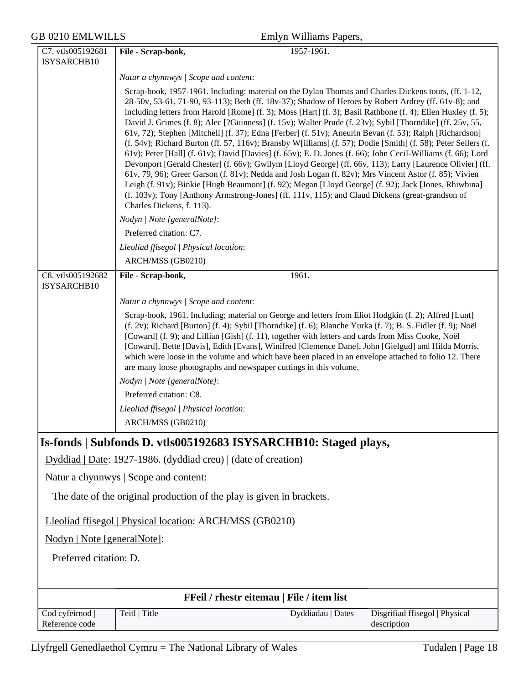|  | Emlyn Williams Papers, |  |
|--|------------------------|--|
|--|------------------------|--|

| C7. vtls005192681                                                     | File - Scrap-book,<br>1957-1961.                                                                                                                                                                                          |  |
|-----------------------------------------------------------------------|---------------------------------------------------------------------------------------------------------------------------------------------------------------------------------------------------------------------------|--|
| ISYSARCHB10                                                           |                                                                                                                                                                                                                           |  |
|                                                                       | Natur a chynnwys / Scope and content:                                                                                                                                                                                     |  |
|                                                                       | Scrap-book, 1957-1961. Including: material on the Dylan Thomas and Charles Dickens tours, (ff. 1-12,                                                                                                                      |  |
|                                                                       | 28-50v, 53-61, 71-90, 93-113); Beth (ff. 18v-37); Shadow of Heroes by Robert Ardrey (ff. 61v-8); and                                                                                                                      |  |
|                                                                       | including letters from Harold [Rome] (f. 3); Moss [Hart] (f. 3); Basil Rathbone (f. 4); Ellen Huxley (f. 5);<br>David J. Grimes (f. 8); Alec [?Guinness] (f. 15v); Walter Prude (f. 23v); Sybil [Thorndike] (ff. 25v, 55, |  |
|                                                                       | 61v, 72); Stephen [Mitchell] (f. 37); Edna [Ferber] (f. 51v); Aneurin Bevan (f. 53); Ralph [Richardson]                                                                                                                   |  |
|                                                                       | (f. 54v); Richard Burton (ff. 57, 116v); Bransby W[illiams] (f. 57); Dodie [Smith] (f. 58); Peter Sellers (f.                                                                                                             |  |
|                                                                       | 61v); Peter [Hall] (f. 61v); David [Davies] (f. 65v); E. D. Jones (f. 66); John Cecil-Williams (f. 66); Lord<br>Devonport [Gerald Chester] (f. 66v); Gwilym [Lloyd George] (ff. 66v, 113); Larry [Laurence Olivier] (ff.  |  |
|                                                                       | 61v, 79, 96); Greer Garson (f. 81v); Nedda and Josh Logan (f. 82v); Mrs Vincent Astor (f. 85); Vivien                                                                                                                     |  |
|                                                                       | Leigh (f. 91v); Binkie [Hugh Beaumont] (f. 92); Megan [Lloyd George] (f. 92); Jack [Jones, Rhiwbina]                                                                                                                      |  |
|                                                                       | (f. 103v); Tony [Anthony Armstrong-Jones] (ff. 111v, 115); and Claud Dickens (great-grandson of                                                                                                                           |  |
|                                                                       | Charles Dickens, f. 113).                                                                                                                                                                                                 |  |
|                                                                       | Nodyn   Note [generalNote]:                                                                                                                                                                                               |  |
|                                                                       | Preferred citation: C7.                                                                                                                                                                                                   |  |
|                                                                       | Lleoliad ffisegol   Physical location:                                                                                                                                                                                    |  |
|                                                                       | ARCH/MSS (GB0210)                                                                                                                                                                                                         |  |
| C8. vtls005192682<br>ISYSARCHB10                                      | File - Scrap-book,<br>1961.                                                                                                                                                                                               |  |
|                                                                       | Natur a chynnwys / Scope and content:                                                                                                                                                                                     |  |
|                                                                       | Scrap-book, 1961. Including; material on George and letters from Eliot Hodgkin (f. 2); Alfred [Lunt]                                                                                                                      |  |
|                                                                       | (f. 2v); Richard [Burton] (f. 4); Sybil [Thorndike] (f. 6); Blanche Yurka (f. 7); B. S. Fidler (f. 9); Noël<br>[Coward] (f. 9); and Lillian [Gish] (f. 11), together with letters and cards from Miss Cooke, Noël         |  |
|                                                                       | [Coward], Bette [Davis], Edith [Evans], Winifred [Clemence Dane], John [Gielgud] and Hilda Morris,                                                                                                                        |  |
|                                                                       | which were loose in the volume and which have been placed in an envelope attached to folio 12. There                                                                                                                      |  |
|                                                                       | are many loose photographs and newspaper cuttings in this volume.                                                                                                                                                         |  |
|                                                                       | Nodyn   Note [generalNote]:                                                                                                                                                                                               |  |
|                                                                       | Preferred citation: C8.                                                                                                                                                                                                   |  |
|                                                                       | Lleoliad ffisegol   Physical location:                                                                                                                                                                                    |  |
|                                                                       | ARCH/MSS (GB0210)                                                                                                                                                                                                         |  |
|                                                                       | Is-fonds   Subfonds D. vtls005192683 ISYSARCHB10: Staged plays,                                                                                                                                                           |  |
|                                                                       | Dyddiad   Date: 1927-1986. (dyddiad creu)   (date of creation)                                                                                                                                                            |  |
|                                                                       | Natur a chynnwys   Scope and content:                                                                                                                                                                                     |  |
| The date of the original production of the play is given in brackets. |                                                                                                                                                                                                                           |  |
| Lleoliad ffisegol   Physical location: ARCH/MSS (GB0210)              |                                                                                                                                                                                                                           |  |
| Nodyn   Note [generalNote]:                                           |                                                                                                                                                                                                                           |  |
| Preferred citation: D.                                                |                                                                                                                                                                                                                           |  |
|                                                                       |                                                                                                                                                                                                                           |  |
|                                                                       | FFeil / rhestr eitemau   File / item list                                                                                                                                                                                 |  |
| Cod cyfeirnod                                                         | Teitl   Title<br>Dyddiadau   Dates<br>Disgrifiad ffisegol   Physical                                                                                                                                                      |  |
| Reference code                                                        | description                                                                                                                                                                                                               |  |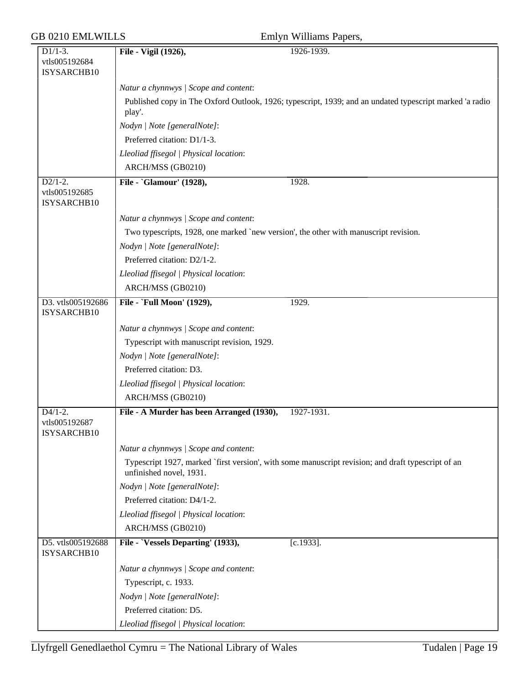|  | Emlyn Williams Papers, |
|--|------------------------|

| Emlyn Williams Papers |  |
|-----------------------|--|
|                       |  |

| $\overline{D1/1-3}$ .            | File - Vigil (1926),<br>1926-1939.                                                                                            |
|----------------------------------|-------------------------------------------------------------------------------------------------------------------------------|
| vtls005192684                    |                                                                                                                               |
| ISYSARCHB10                      |                                                                                                                               |
|                                  |                                                                                                                               |
|                                  | Natur a chynnwys / Scope and content:                                                                                         |
|                                  | Published copy in The Oxford Outlook, 1926; typescript, 1939; and an undated typescript marked 'a radio                       |
|                                  | play'.                                                                                                                        |
|                                  | Nodyn   Note [generalNote]:                                                                                                   |
|                                  | Preferred citation: D1/1-3.                                                                                                   |
|                                  | Lleoliad ffisegol   Physical location:                                                                                        |
|                                  | ARCH/MSS (GB0210)                                                                                                             |
| $D2/1-2.$                        | File - `Glamour' (1928),<br>1928.                                                                                             |
| vtls005192685                    |                                                                                                                               |
| ISYSARCHB10                      |                                                                                                                               |
|                                  | Natur a chynnwys / Scope and content:                                                                                         |
|                                  | Two typescripts, 1928, one marked `new version', the other with manuscript revision.                                          |
|                                  | Nodyn   Note [generalNote]:                                                                                                   |
|                                  | Preferred citation: D2/1-2.                                                                                                   |
|                                  | Lleoliad ffisegol   Physical location:                                                                                        |
|                                  |                                                                                                                               |
|                                  | ARCH/MSS (GB0210)                                                                                                             |
| D3. vtls005192686<br>ISYSARCHB10 | File - `Full Moon' (1929),<br>1929.                                                                                           |
|                                  | Natur a chynnwys / Scope and content:                                                                                         |
|                                  | Typescript with manuscript revision, 1929.                                                                                    |
|                                  | Nodyn   Note [generalNote]:                                                                                                   |
|                                  | Preferred citation: D3.                                                                                                       |
|                                  | Lleoliad ffisegol   Physical location:                                                                                        |
|                                  |                                                                                                                               |
|                                  | ARCH/MSS (GB0210)                                                                                                             |
| $D4/1-2.$                        | File - A Murder has been Arranged (1930),<br>1927-1931.                                                                       |
| vtls005192687<br>ISYSARCHB10     |                                                                                                                               |
|                                  |                                                                                                                               |
|                                  | Natur a chynnwys / Scope and content:                                                                                         |
|                                  | Typescript 1927, marked `first version', with some manuscript revision; and draft typescript of an<br>unfinished novel, 1931. |
|                                  | Nodyn   Note [generalNote]:                                                                                                   |
|                                  | Preferred citation: D4/1-2.                                                                                                   |
|                                  | Lleoliad ffisegol   Physical location:                                                                                        |
|                                  | ARCH/MSS (GB0210)                                                                                                             |
| D5. vtls005192688                | File - `Vessels Departing' (1933),<br>$[c.1933]$ .                                                                            |
| ISYSARCHB10                      |                                                                                                                               |
|                                  | Natur a chynnwys / Scope and content:                                                                                         |
|                                  | Typescript, c. 1933.                                                                                                          |
|                                  | Nodyn   Note [generalNote]:                                                                                                   |
|                                  | Preferred citation: D5.                                                                                                       |
|                                  | Lleoliad ffisegol   Physical location:                                                                                        |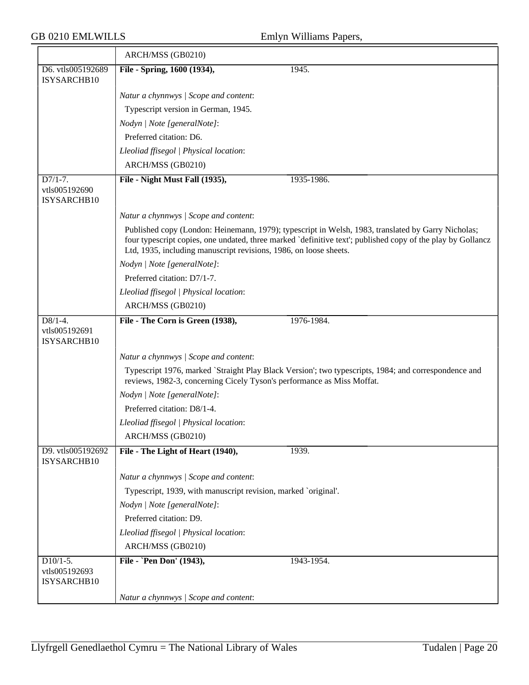|                                            | ARCH/MSS (GB0210)                                                                                                                                                                                                                                                                      |
|--------------------------------------------|----------------------------------------------------------------------------------------------------------------------------------------------------------------------------------------------------------------------------------------------------------------------------------------|
| D6. vtls005192689<br>ISYSARCHB10           | File - Spring, 1600 (1934),<br>1945.                                                                                                                                                                                                                                                   |
|                                            | Natur a chynnwys / Scope and content:                                                                                                                                                                                                                                                  |
|                                            | Typescript version in German, 1945.                                                                                                                                                                                                                                                    |
|                                            | Nodyn   Note [generalNote]:                                                                                                                                                                                                                                                            |
|                                            | Preferred citation: D6.                                                                                                                                                                                                                                                                |
|                                            | Lleoliad ffisegol   Physical location:                                                                                                                                                                                                                                                 |
|                                            | ARCH/MSS (GB0210)                                                                                                                                                                                                                                                                      |
| $D7/1-7.$                                  | File - Night Must Fall (1935),<br>1935-1986.                                                                                                                                                                                                                                           |
| vtls005192690<br>ISYSARCHB10               |                                                                                                                                                                                                                                                                                        |
|                                            | Natur a chynnwys / Scope and content:                                                                                                                                                                                                                                                  |
|                                            | Published copy (London: Heinemann, 1979); typescript in Welsh, 1983, translated by Garry Nicholas;<br>four typescript copies, one undated, three marked `definitive text'; published copy of the play by Gollancz<br>Ltd, 1935, including manuscript revisions, 1986, on loose sheets. |
|                                            | Nodyn   Note [generalNote]:                                                                                                                                                                                                                                                            |
|                                            | Preferred citation: D7/1-7.                                                                                                                                                                                                                                                            |
|                                            | Lleoliad ffisegol   Physical location:                                                                                                                                                                                                                                                 |
|                                            | ARCH/MSS (GB0210)                                                                                                                                                                                                                                                                      |
| $D8/1-4.$<br>vtls005192691<br>ISYSARCHB10  | 1976-1984.<br>File - The Corn is Green (1938),                                                                                                                                                                                                                                         |
|                                            | Natur a chynnwys / Scope and content:                                                                                                                                                                                                                                                  |
|                                            | Typescript 1976, marked `Straight Play Black Version'; two typescripts, 1984; and correspondence and<br>reviews, 1982-3, concerning Cicely Tyson's performance as Miss Moffat.                                                                                                         |
|                                            | Nodyn   Note [generalNote]:                                                                                                                                                                                                                                                            |
|                                            | Preferred citation: D8/1-4.                                                                                                                                                                                                                                                            |
|                                            | Lleoliad ffisegol   Physical location:                                                                                                                                                                                                                                                 |
|                                            | ARCH/MSS (GB0210)                                                                                                                                                                                                                                                                      |
| D9. vtls005192692<br>ISYSARCHB10           | File - The Light of Heart (1940),<br>1939.                                                                                                                                                                                                                                             |
|                                            | Natur a chynnwys / Scope and content:                                                                                                                                                                                                                                                  |
|                                            | Typescript, 1939, with manuscript revision, marked `original'.                                                                                                                                                                                                                         |
|                                            | Nodyn   Note [generalNote]:                                                                                                                                                                                                                                                            |
|                                            | Preferred citation: D9.                                                                                                                                                                                                                                                                |
|                                            | Lleoliad ffisegol   Physical location:                                                                                                                                                                                                                                                 |
|                                            | ARCH/MSS (GB0210)                                                                                                                                                                                                                                                                      |
| $D10/1-5.$<br>vtls005192693<br>ISYSARCHB10 | File - `Pen Don' (1943),<br>1943-1954.                                                                                                                                                                                                                                                 |
|                                            |                                                                                                                                                                                                                                                                                        |
|                                            | Natur a chynnwys / Scope and content:                                                                                                                                                                                                                                                  |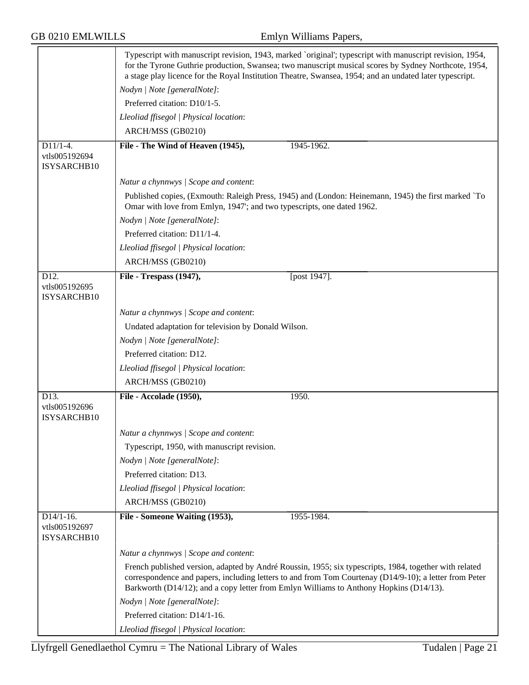|                                             | Typescript with manuscript revision, 1943, marked `original'; typescript with manuscript revision, 1954,<br>for the Tyrone Guthrie production, Swansea; two manuscript musical scores by Sydney Northcote, 1954,<br>a stage play licence for the Royal Institution Theatre, Swansea, 1954; and an undated later typescript. |  |  |
|---------------------------------------------|-----------------------------------------------------------------------------------------------------------------------------------------------------------------------------------------------------------------------------------------------------------------------------------------------------------------------------|--|--|
|                                             | Nodyn   Note [generalNote]:                                                                                                                                                                                                                                                                                                 |  |  |
|                                             | Preferred citation: D10/1-5.                                                                                                                                                                                                                                                                                                |  |  |
|                                             | Lleoliad ffisegol   Physical location:                                                                                                                                                                                                                                                                                      |  |  |
|                                             | ARCH/MSS (GB0210)                                                                                                                                                                                                                                                                                                           |  |  |
| $D11/1-4.$<br>vtls005192694<br>ISYSARCHB10  | File - The Wind of Heaven (1945),<br>1945-1962.                                                                                                                                                                                                                                                                             |  |  |
|                                             | Natur a chynnwys / Scope and content:                                                                                                                                                                                                                                                                                       |  |  |
|                                             | Published copies, (Exmouth: Raleigh Press, 1945) and (London: Heinemann, 1945) the first marked `To<br>Omar with love from Emlyn, 1947'; and two typescripts, one dated 1962.                                                                                                                                               |  |  |
|                                             | Nodyn   Note [generalNote]:                                                                                                                                                                                                                                                                                                 |  |  |
|                                             | Preferred citation: D11/1-4.                                                                                                                                                                                                                                                                                                |  |  |
|                                             | Lleoliad ffisegol   Physical location:                                                                                                                                                                                                                                                                                      |  |  |
|                                             | ARCH/MSS (GB0210)                                                                                                                                                                                                                                                                                                           |  |  |
| D12.<br>vtls005192695<br>ISYSARCHB10        | File - Trespass (1947),<br>[post 1947].                                                                                                                                                                                                                                                                                     |  |  |
|                                             | Natur a chynnwys / Scope and content:                                                                                                                                                                                                                                                                                       |  |  |
|                                             | Undated adaptation for television by Donald Wilson.                                                                                                                                                                                                                                                                         |  |  |
|                                             | Nodyn   Note [generalNote]:                                                                                                                                                                                                                                                                                                 |  |  |
|                                             | Preferred citation: D12.                                                                                                                                                                                                                                                                                                    |  |  |
|                                             | Lleoliad ffisegol   Physical location:                                                                                                                                                                                                                                                                                      |  |  |
|                                             | ARCH/MSS (GB0210)                                                                                                                                                                                                                                                                                                           |  |  |
| D13.                                        | File - Accolade (1950),<br>1950.                                                                                                                                                                                                                                                                                            |  |  |
| vtls005192696<br>ISYSARCHB10                |                                                                                                                                                                                                                                                                                                                             |  |  |
|                                             | Natur a chynnwys / Scope and content:                                                                                                                                                                                                                                                                                       |  |  |
|                                             | Typescript, 1950, with manuscript revision.                                                                                                                                                                                                                                                                                 |  |  |
|                                             | Nodyn   Note [generalNote]:                                                                                                                                                                                                                                                                                                 |  |  |
|                                             | Preferred citation: D13.                                                                                                                                                                                                                                                                                                    |  |  |
|                                             | Lleoliad ffisegol   Physical location:                                                                                                                                                                                                                                                                                      |  |  |
|                                             | ARCH/MSS (GB0210)                                                                                                                                                                                                                                                                                                           |  |  |
| $D14/1-16.$<br>vtls005192697<br>ISYSARCHB10 | File - Someone Waiting (1953),<br>1955-1984.                                                                                                                                                                                                                                                                                |  |  |
|                                             | Natur a chynnwys / Scope and content:                                                                                                                                                                                                                                                                                       |  |  |
|                                             | French published version, adapted by André Roussin, 1955; six typescripts, 1984, together with related<br>correspondence and papers, including letters to and from Tom Courtenay (D14/9-10); a letter from Peter<br>Barkworth (D14/12); and a copy letter from Emlyn Williams to Anthony Hopkins (D14/13).                  |  |  |
|                                             | Nodyn   Note [generalNote]:                                                                                                                                                                                                                                                                                                 |  |  |
|                                             | Preferred citation: D14/1-16.                                                                                                                                                                                                                                                                                               |  |  |
|                                             | Lleoliad ffisegol   Physical location:                                                                                                                                                                                                                                                                                      |  |  |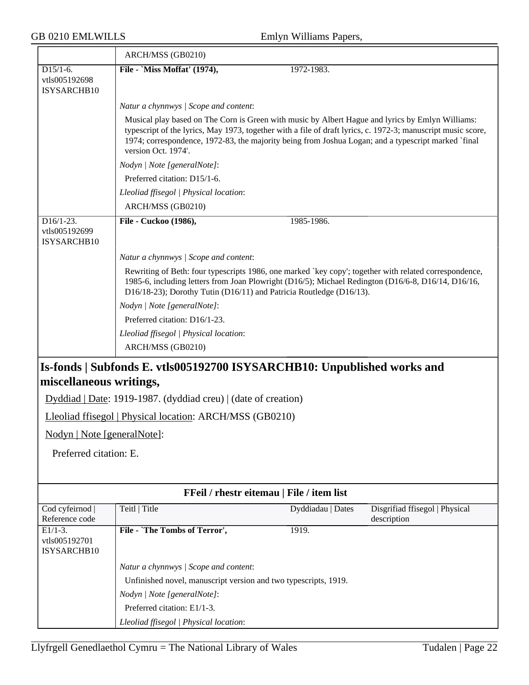| <b>GB 0210 EMLWILLS</b><br>Emlyn Williams Papers,       |                                                                                                                                                                                                                                                                                                                                                |                                           |                                               |
|---------------------------------------------------------|------------------------------------------------------------------------------------------------------------------------------------------------------------------------------------------------------------------------------------------------------------------------------------------------------------------------------------------------|-------------------------------------------|-----------------------------------------------|
|                                                         | ARCH/MSS (GB0210)                                                                                                                                                                                                                                                                                                                              |                                           |                                               |
| $D15/1-6.$<br>vtls005192698<br>ISYSARCHB10              | File - `Miss Moffat' (1974),                                                                                                                                                                                                                                                                                                                   | 1972-1983.                                |                                               |
|                                                         | Natur a chynnwys / Scope and content:                                                                                                                                                                                                                                                                                                          |                                           |                                               |
|                                                         | Musical play based on The Corn is Green with music by Albert Hague and lyrics by Emlyn Williams:<br>typescript of the lyrics, May 1973, together with a file of draft lyrics, c. 1972-3; manuscript music score,<br>1974; correspondence, 1972-83, the majority being from Joshua Logan; and a typescript marked `final<br>version Oct. 1974'. |                                           |                                               |
|                                                         | Nodyn   Note [generalNote]:                                                                                                                                                                                                                                                                                                                    |                                           |                                               |
|                                                         | Preferred citation: D15/1-6.                                                                                                                                                                                                                                                                                                                   |                                           |                                               |
|                                                         | Lleoliad ffisegol   Physical location:                                                                                                                                                                                                                                                                                                         |                                           |                                               |
|                                                         | ARCH/MSS (GB0210)                                                                                                                                                                                                                                                                                                                              |                                           |                                               |
| $\overline{D16/1-23}$ .<br>vtls005192699<br>ISYSARCHB10 | File - Cuckoo (1986),                                                                                                                                                                                                                                                                                                                          | 1985-1986.                                |                                               |
|                                                         | Natur a chynnwys / Scope and content:                                                                                                                                                                                                                                                                                                          |                                           |                                               |
|                                                         | Rewriting of Beth: four typescripts 1986, one marked `key copy'; together with related correspondence,<br>1985-6, including letters from Joan Plowright (D16/5); Michael Redington (D16/6-8, D16/14, D16/16,<br>D16/18-23); Dorothy Tutin (D16/11) and Patricia Routledge (D16/13).                                                            |                                           |                                               |
|                                                         | Nodyn   Note [generalNote]:                                                                                                                                                                                                                                                                                                                    |                                           |                                               |
|                                                         | Preferred citation: D16/1-23.                                                                                                                                                                                                                                                                                                                  |                                           |                                               |
|                                                         | Lleoliad ffisegol   Physical location:                                                                                                                                                                                                                                                                                                         |                                           |                                               |
|                                                         | ARCH/MSS (GB0210)                                                                                                                                                                                                                                                                                                                              |                                           |                                               |
| miscellaneous writings,                                 | Is-fonds   Subfonds E. vtls005192700 ISYSARCHB10: Unpublished works and                                                                                                                                                                                                                                                                        |                                           |                                               |
|                                                         | Dyddiad   Date: 1919-1987. (dyddiad creu)   (date of creation)                                                                                                                                                                                                                                                                                 |                                           |                                               |
|                                                         | Lleoliad ffisegol   Physical location: ARCH/MSS (GB0210)                                                                                                                                                                                                                                                                                       |                                           |                                               |
| Nodyn   Note [generalNote]:                             |                                                                                                                                                                                                                                                                                                                                                |                                           |                                               |
|                                                         |                                                                                                                                                                                                                                                                                                                                                |                                           |                                               |
| Preferred citation: E.                                  |                                                                                                                                                                                                                                                                                                                                                |                                           |                                               |
|                                                         |                                                                                                                                                                                                                                                                                                                                                | FFeil / rhestr eitemau   File / item list |                                               |
| Cod cyfeirnod<br>Reference code                         | Teitl   Title                                                                                                                                                                                                                                                                                                                                  | Dyddiadau   Dates                         | Disgrifiad ffisegol   Physical<br>description |
| $E1/1-3.$<br>vtls005192701<br>ISYSARCHB10               | File - `The Tombs of Terror',                                                                                                                                                                                                                                                                                                                  | 1919.                                     |                                               |
|                                                         | Natur a chynnwys / Scope and content:                                                                                                                                                                                                                                                                                                          |                                           |                                               |
|                                                         | Unfinished novel, manuscript version and two typescripts, 1919.                                                                                                                                                                                                                                                                                |                                           |                                               |
|                                                         | Nodyn   Note [generalNote]:                                                                                                                                                                                                                                                                                                                    |                                           |                                               |
|                                                         | Preferred citation: E1/1-3.                                                                                                                                                                                                                                                                                                                    |                                           |                                               |

*Lleoliad ffisegol | Physical location*: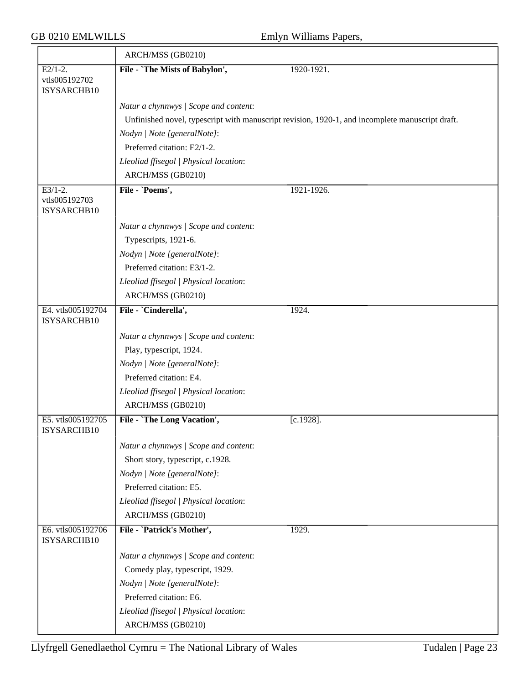|                                  | ARCH/MSS (GB0210)                      |                                                                                                 |
|----------------------------------|----------------------------------------|-------------------------------------------------------------------------------------------------|
| $E2/1-2$ .                       | File - `The Mists of Babylon',         | 1920-1921.                                                                                      |
| vtls005192702<br>ISYSARCHB10     |                                        |                                                                                                 |
|                                  | Natur a chynnwys / Scope and content:  |                                                                                                 |
|                                  |                                        | Unfinished novel, typescript with manuscript revision, 1920-1, and incomplete manuscript draft. |
|                                  | Nodyn   Note [generalNote]:            |                                                                                                 |
|                                  | Preferred citation: E2/1-2.            |                                                                                                 |
|                                  | Lleoliad ffisegol   Physical location: |                                                                                                 |
|                                  | ARCH/MSS (GB0210)                      |                                                                                                 |
| $E3/1-2.$                        | File - `Poems',                        | 1921-1926.                                                                                      |
| vtls005192703<br>ISYSARCHB10     |                                        |                                                                                                 |
|                                  | Natur a chynnwys / Scope and content:  |                                                                                                 |
|                                  | Typescripts, 1921-6.                   |                                                                                                 |
|                                  | Nodyn   Note [generalNote]:            |                                                                                                 |
|                                  | Preferred citation: E3/1-2.            |                                                                                                 |
|                                  | Lleoliad ffisegol   Physical location: |                                                                                                 |
|                                  | ARCH/MSS (GB0210)                      |                                                                                                 |
| E4. vtls005192704<br>ISYSARCHB10 | File - `Cinderella',                   | 1924.                                                                                           |
|                                  | Natur a chynnwys / Scope and content:  |                                                                                                 |
|                                  | Play, typescript, 1924.                |                                                                                                 |
|                                  | Nodyn   Note [generalNote]:            |                                                                                                 |
|                                  | Preferred citation: E4.                |                                                                                                 |
|                                  | Lleoliad ffisegol   Physical location: |                                                                                                 |
|                                  | ARCH/MSS (GB0210)                      |                                                                                                 |
| E5. vtls005192705<br>ISYSARCHB10 | File - `The Long Vacation',            | $[c.1928]$ .                                                                                    |
|                                  | Natur a chynnwys / Scope and content:  |                                                                                                 |
|                                  | Short story, typescript, c.1928.       |                                                                                                 |
|                                  | Nodyn   Note [generalNote]:            |                                                                                                 |
|                                  | Preferred citation: E5.                |                                                                                                 |
|                                  | Lleoliad ffisegol   Physical location: |                                                                                                 |
|                                  | ARCH/MSS (GB0210)                      |                                                                                                 |
| E6. vtls005192706<br>ISYSARCHB10 | File - `Patrick's Mother',             | 1929.                                                                                           |
|                                  | Natur a chynnwys / Scope and content:  |                                                                                                 |
|                                  | Comedy play, typescript, 1929.         |                                                                                                 |
|                                  | Nodyn   Note [generalNote]:            |                                                                                                 |
|                                  | Preferred citation: E6.                |                                                                                                 |
|                                  | Lleoliad ffisegol   Physical location: |                                                                                                 |
|                                  | ARCH/MSS (GB0210)                      |                                                                                                 |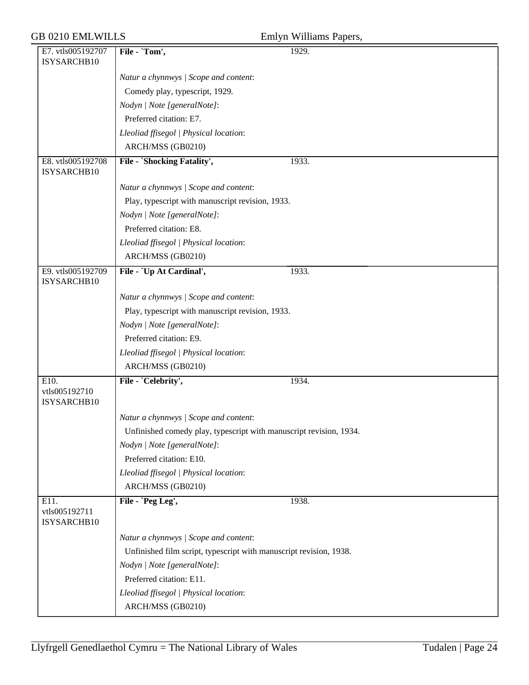### GB 0210 EMLWILLS

|  | Emlyn Williams Papers, |  |
|--|------------------------|--|
|--|------------------------|--|

|                                      |                                                                    | $\cdots$ |
|--------------------------------------|--------------------------------------------------------------------|----------|
| E7. vtls005192707<br>ISYSARCHB10     | File - `Tom',                                                      | 1929.    |
|                                      | Natur a chynnwys / Scope and content:                              |          |
|                                      | Comedy play, typescript, 1929.                                     |          |
|                                      | Nodyn   Note [generalNote]:                                        |          |
|                                      | Preferred citation: E7.                                            |          |
|                                      | Lleoliad ffisegol   Physical location:                             |          |
|                                      | ARCH/MSS (GB0210)                                                  |          |
| E8. vtls005192708<br>ISYSARCHB10     | File - `Shocking Fatality',                                        | 1933.    |
|                                      | Natur a chynnwys / Scope and content:                              |          |
|                                      | Play, typescript with manuscript revision, 1933.                   |          |
|                                      | Nodyn   Note [generalNote]:                                        |          |
|                                      | Preferred citation: E8.                                            |          |
|                                      | Lleoliad ffisegol   Physical location:                             |          |
|                                      | ARCH/MSS (GB0210)                                                  |          |
| E9. vtls005192709<br>ISYSARCHB10     | File - `Up At Cardinal',                                           | 1933.    |
|                                      | Natur a chynnwys / Scope and content:                              |          |
|                                      | Play, typescript with manuscript revision, 1933.                   |          |
|                                      | Nodyn   Note [generalNote]:                                        |          |
|                                      | Preferred citation: E9.                                            |          |
|                                      | Lleoliad ffisegol   Physical location:                             |          |
|                                      | ARCH/MSS (GB0210)                                                  |          |
| E10.<br>vtls005192710<br>ISYSARCHB10 | File - `Celebrity',                                                | 1934.    |
|                                      | Natur a chynnwys / Scope and content:                              |          |
|                                      | Unfinished comedy play, typescript with manuscript revision, 1934. |          |
|                                      | Nodyn   Note [generalNote]:                                        |          |
|                                      | Preferred citation: E10.                                           |          |
|                                      | Lleoliad ffisegol   Physical location:                             |          |
|                                      | ARCH/MSS (GB0210)                                                  |          |
| E11.<br>vtls005192711<br>ISYSARCHB10 | File - `Peg Leg',                                                  | 1938.    |
|                                      | Natur a chynnwys / Scope and content:                              |          |
|                                      | Unfinished film script, typescript with manuscript revision, 1938. |          |
|                                      | Nodyn   Note [generalNote]:                                        |          |
|                                      | Preferred citation: E11.                                           |          |
|                                      | Lleoliad ffisegol   Physical location:                             |          |
|                                      | ARCH/MSS (GB0210)                                                  |          |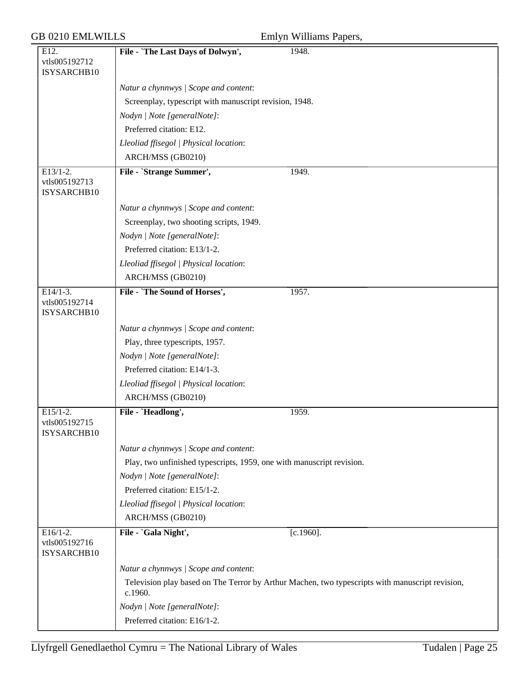| <b>GB 0210 EMLWILLS</b>                    |                                                                       | Emlyn Williams Papers,                                                                          |
|--------------------------------------------|-----------------------------------------------------------------------|-------------------------------------------------------------------------------------------------|
| E12.<br>vtls005192712<br>ISYSARCHB10       | File - `The Last Days of Dolwyn',                                     | 1948.                                                                                           |
|                                            | Natur a chynnwys / Scope and content:                                 |                                                                                                 |
|                                            | Screenplay, typescript with manuscript revision, 1948.                |                                                                                                 |
|                                            | Nodyn   Note [generalNote]:                                           |                                                                                                 |
|                                            | Preferred citation: E12.                                              |                                                                                                 |
|                                            | Lleoliad ffisegol   Physical location:                                |                                                                                                 |
|                                            | ARCH/MSS (GB0210)                                                     |                                                                                                 |
| $E13/1-2.$<br>vtls005192713<br>ISYSARCHB10 | File - `Strange Summer',                                              | 1949.                                                                                           |
|                                            | Natur a chynnwys / Scope and content:                                 |                                                                                                 |
|                                            | Screenplay, two shooting scripts, 1949.                               |                                                                                                 |
|                                            | Nodyn   Note [generalNote]:                                           |                                                                                                 |
|                                            | Preferred citation: E13/1-2.                                          |                                                                                                 |
|                                            | Lleoliad ffisegol   Physical location:                                |                                                                                                 |
|                                            | ARCH/MSS (GB0210)                                                     |                                                                                                 |
| $E14/1-3.$<br>vtls005192714<br>ISYSARCHB10 | File - `The Sound of Horses',                                         | 1957.                                                                                           |
|                                            | Natur a chynnwys / Scope and content:                                 |                                                                                                 |
|                                            | Play, three typescripts, 1957.                                        |                                                                                                 |
|                                            | Nodyn   Note [generalNote]:                                           |                                                                                                 |
|                                            | Preferred citation: E14/1-3.                                          |                                                                                                 |
|                                            | Lleoliad ffisegol   Physical location:                                |                                                                                                 |
|                                            | ARCH/MSS (GB0210)                                                     |                                                                                                 |
| $E15/1-2.$<br>vtls005192715<br>ISYSARCHB10 | File - `Headlong',                                                    | 1959.                                                                                           |
|                                            | Natur a chynnwys / Scope and content:                                 |                                                                                                 |
|                                            | Play, two unfinished typescripts, 1959, one with manuscript revision. |                                                                                                 |
|                                            | Nodyn   Note [generalNote]:                                           |                                                                                                 |
|                                            | Preferred citation: E15/1-2.                                          |                                                                                                 |
|                                            | Lleoliad ffisegol   Physical location:                                |                                                                                                 |
|                                            | ARCH/MSS (GB0210)                                                     |                                                                                                 |
| $E16/1-2.$<br>vtls005192716<br>ISYSARCHB10 | File - `Gala Night',                                                  | $[c.1960]$ .                                                                                    |
|                                            | Natur a chynnwys / Scope and content:                                 |                                                                                                 |
|                                            | c.1960.                                                               | Television play based on The Terror by Arthur Machen, two typescripts with manuscript revision, |
|                                            | Nodyn   Note [generalNote]:                                           |                                                                                                 |
|                                            | Preferred citation: E16/1-2.                                          |                                                                                                 |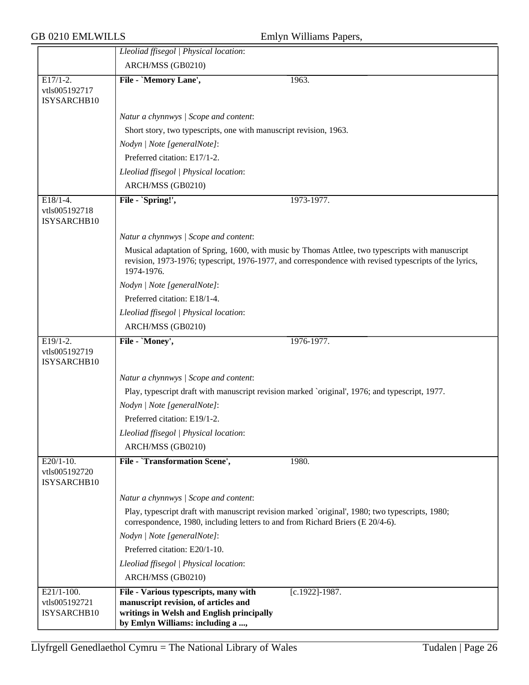| <b>GB 0210 EMLWILLS</b>                      | Emlyn Williams Papers,                                                                                                                                                                                                   |
|----------------------------------------------|--------------------------------------------------------------------------------------------------------------------------------------------------------------------------------------------------------------------------|
|                                              | Lleoliad ffisegol   Physical location:                                                                                                                                                                                   |
|                                              | ARCH/MSS (GB0210)                                                                                                                                                                                                        |
| $E17/1-2.$<br>vtls005192717<br>ISYSARCHB10   | 1963.<br>File - `Memory Lane',                                                                                                                                                                                           |
|                                              | Natur a chynnwys / Scope and content:                                                                                                                                                                                    |
|                                              | Short story, two typescripts, one with manuscript revision, 1963.                                                                                                                                                        |
|                                              | Nodyn   Note [generalNote]:                                                                                                                                                                                              |
|                                              | Preferred citation: E17/1-2.                                                                                                                                                                                             |
|                                              | Lleoliad ffisegol   Physical location:                                                                                                                                                                                   |
|                                              | ARCH/MSS (GB0210)                                                                                                                                                                                                        |
| $E18/1-4.$<br>vtls005192718<br>ISYSARCHB10   | File - `Spring!',<br>1973-1977.                                                                                                                                                                                          |
|                                              | Natur a chynnwys / Scope and content:                                                                                                                                                                                    |
|                                              | Musical adaptation of Spring, 1600, with music by Thomas Attlee, two typescripts with manuscript<br>revision, 1973-1976; typescript, 1976-1977, and correspondence with revised typescripts of the lyrics,<br>1974-1976. |
|                                              | Nodyn   Note [generalNote]:                                                                                                                                                                                              |
|                                              | Preferred citation: E18/1-4.                                                                                                                                                                                             |
|                                              | Lleoliad ffisegol   Physical location:                                                                                                                                                                                   |
|                                              | ARCH/MSS (GB0210)                                                                                                                                                                                                        |
| $E19/1-2.$<br>vtls005192719<br>ISYSARCHB10   | File - `Money',<br>1976-1977.                                                                                                                                                                                            |
|                                              | Natur a chynnwys / Scope and content:                                                                                                                                                                                    |
|                                              | Play, typescript draft with manuscript revision marked `original', 1976; and typescript, 1977.                                                                                                                           |
|                                              | Nodyn   Note [generalNote]:                                                                                                                                                                                              |
|                                              | Preferred citation: E19/1-2.                                                                                                                                                                                             |
|                                              | Lleoliad ffisegol   Physical location:                                                                                                                                                                                   |
|                                              | ARCH/MSS (GB0210)                                                                                                                                                                                                        |
| $E20/1-10$ .<br>vtls005192720<br>ISYSARCHB10 | File - 'Transformation Scene',<br>1980.                                                                                                                                                                                  |
|                                              | Natur a chynnwys / Scope and content:                                                                                                                                                                                    |
|                                              | Play, typescript draft with manuscript revision marked `original', 1980; two typescripts, 1980;<br>correspondence, 1980, including letters to and from Richard Briers (E 20/4-6).                                        |
|                                              | Nodyn   Note [generalNote]:                                                                                                                                                                                              |
|                                              | Preferred citation: E20/1-10.                                                                                                                                                                                            |
|                                              | Lleoliad ffisegol   Physical location:                                                                                                                                                                                   |
|                                              | ARCH/MSS (GB0210)                                                                                                                                                                                                        |
| $E21/1-100.$                                 | File - Various typescripts, many with<br>$[c.1922] - 1987.$                                                                                                                                                              |
| vtls005192721<br>ISYSARCHB10                 | manuscript revision, of articles and<br>writings in Welsh and English principally<br>by Emlyn Williams: including a ,                                                                                                    |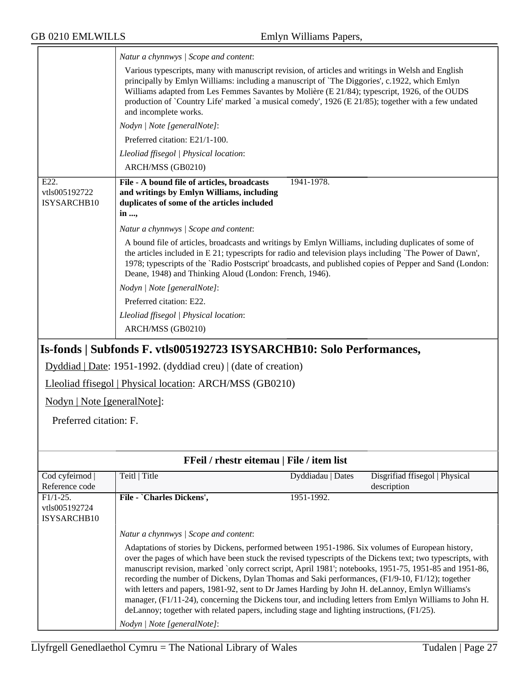|                                                        | Natur a chynnwys / Scope and content:                                                                                                                                                                                                                                                                                                                                                                                                                                                                                                                                                                                                                                                                                                     |                   |                                               |  |  |
|--------------------------------------------------------|-------------------------------------------------------------------------------------------------------------------------------------------------------------------------------------------------------------------------------------------------------------------------------------------------------------------------------------------------------------------------------------------------------------------------------------------------------------------------------------------------------------------------------------------------------------------------------------------------------------------------------------------------------------------------------------------------------------------------------------------|-------------------|-----------------------------------------------|--|--|
|                                                        | Various typescripts, many with manuscript revision, of articles and writings in Welsh and English<br>principally by Emlyn Williams: including a manuscript of 'The Diggories', c.1922, which Emlyn<br>Williams adapted from Les Femmes Savantes by Molière (E 21/84); typescript, 1926, of the OUDS<br>production of `Country Life' marked `a musical comedy', 1926 (E 21/85); together with a few undated<br>and incomplete works.                                                                                                                                                                                                                                                                                                       |                   |                                               |  |  |
|                                                        | Nodyn   Note [generalNote]:                                                                                                                                                                                                                                                                                                                                                                                                                                                                                                                                                                                                                                                                                                               |                   |                                               |  |  |
|                                                        | Preferred citation: E21/1-100.                                                                                                                                                                                                                                                                                                                                                                                                                                                                                                                                                                                                                                                                                                            |                   |                                               |  |  |
|                                                        | Lleoliad ffisegol   Physical location:                                                                                                                                                                                                                                                                                                                                                                                                                                                                                                                                                                                                                                                                                                    |                   |                                               |  |  |
|                                                        | ARCH/MSS (GB0210)                                                                                                                                                                                                                                                                                                                                                                                                                                                                                                                                                                                                                                                                                                                         |                   |                                               |  |  |
| E22.<br>vtls005192722<br>ISYSARCHB10                   | File - A bound file of articles, broadcasts<br>1941-1978.<br>and writings by Emlyn Williams, including<br>duplicates of some of the articles included<br>in ,                                                                                                                                                                                                                                                                                                                                                                                                                                                                                                                                                                             |                   |                                               |  |  |
|                                                        | Natur a chynnwys / Scope and content:                                                                                                                                                                                                                                                                                                                                                                                                                                                                                                                                                                                                                                                                                                     |                   |                                               |  |  |
|                                                        | A bound file of articles, broadcasts and writings by Emlyn Williams, including duplicates of some of<br>the articles included in E 21; typescripts for radio and television plays including 'The Power of Dawn',<br>1978; typescripts of the `Radio Postscript' broadcasts, and published copies of Pepper and Sand (London:<br>Deane, 1948) and Thinking Aloud (London: French, 1946).                                                                                                                                                                                                                                                                                                                                                   |                   |                                               |  |  |
|                                                        | Nodyn   Note [generalNote]:                                                                                                                                                                                                                                                                                                                                                                                                                                                                                                                                                                                                                                                                                                               |                   |                                               |  |  |
|                                                        | Preferred citation: E22.                                                                                                                                                                                                                                                                                                                                                                                                                                                                                                                                                                                                                                                                                                                  |                   |                                               |  |  |
|                                                        | Lleoliad ffisegol   Physical location:                                                                                                                                                                                                                                                                                                                                                                                                                                                                                                                                                                                                                                                                                                    |                   |                                               |  |  |
|                                                        | ARCH/MSS (GB0210)                                                                                                                                                                                                                                                                                                                                                                                                                                                                                                                                                                                                                                                                                                                         |                   |                                               |  |  |
|                                                        | Is-fonds   Subfonds F. vtls005192723 ISYSARCHB10: Solo Performances,                                                                                                                                                                                                                                                                                                                                                                                                                                                                                                                                                                                                                                                                      |                   |                                               |  |  |
|                                                        | Dyddiad   Date: 1951-1992. (dyddiad creu)   (date of creation)                                                                                                                                                                                                                                                                                                                                                                                                                                                                                                                                                                                                                                                                            |                   |                                               |  |  |
|                                                        | Lleoliad ffisegol   Physical location: ARCH/MSS (GB0210)                                                                                                                                                                                                                                                                                                                                                                                                                                                                                                                                                                                                                                                                                  |                   |                                               |  |  |
| Nodyn   Note [generalNote]:                            |                                                                                                                                                                                                                                                                                                                                                                                                                                                                                                                                                                                                                                                                                                                                           |                   |                                               |  |  |
| Preferred citation: F.                                 |                                                                                                                                                                                                                                                                                                                                                                                                                                                                                                                                                                                                                                                                                                                                           |                   |                                               |  |  |
|                                                        |                                                                                                                                                                                                                                                                                                                                                                                                                                                                                                                                                                                                                                                                                                                                           |                   |                                               |  |  |
|                                                        | FFeil / rhestr eitemau   File / item list                                                                                                                                                                                                                                                                                                                                                                                                                                                                                                                                                                                                                                                                                                 |                   |                                               |  |  |
| Cod cyfeirnod  <br>Reference code                      | Teitl   Title                                                                                                                                                                                                                                                                                                                                                                                                                                                                                                                                                                                                                                                                                                                             | Dyddiadau   Dates | Disgrifiad ffisegol   Physical<br>description |  |  |
| $\overline{F1/1-25}$ .<br>vtls005192724<br>ISYSARCHB10 | File - `Charles Dickens',                                                                                                                                                                                                                                                                                                                                                                                                                                                                                                                                                                                                                                                                                                                 | 1951-1992.        |                                               |  |  |
|                                                        | Natur a chynnwys / Scope and content:                                                                                                                                                                                                                                                                                                                                                                                                                                                                                                                                                                                                                                                                                                     |                   |                                               |  |  |
|                                                        | Adaptations of stories by Dickens, performed between 1951-1986. Six volumes of European history,<br>over the pages of which have been stuck the revised typescripts of the Dickens text; two typescripts, with<br>manuscript revision, marked `only correct script, April 1981'; notebooks, 1951-75, 1951-85 and 1951-86,<br>recording the number of Dickens, Dylan Thomas and Saki performances, (F1/9-10, F1/12); together<br>with letters and papers, 1981-92, sent to Dr James Harding by John H. deLannoy, Emlyn Williams's<br>manager, (F1/11-24), concerning the Dickens tour, and including letters from Emlyn Williams to John H.<br>deLannoy; together with related papers, including stage and lighting instructions, (F1/25). |                   |                                               |  |  |
|                                                        | Nodyn   Note [generalNote]:                                                                                                                                                                                                                                                                                                                                                                                                                                                                                                                                                                                                                                                                                                               |                   |                                               |  |  |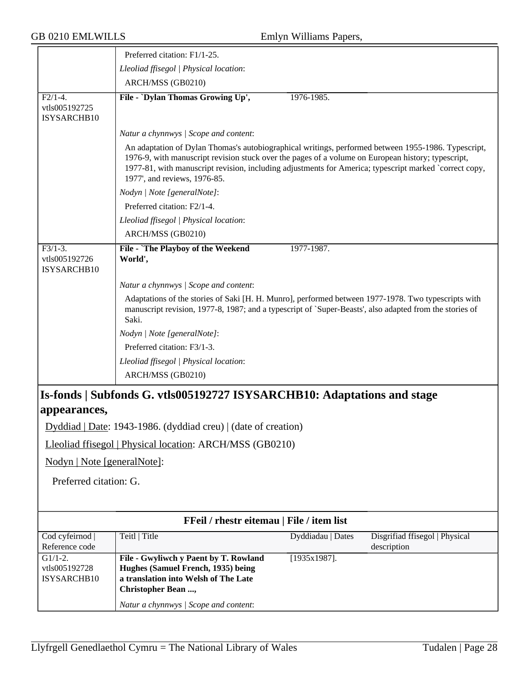|                                                                         | Preferred citation: F1/1-25.                                                                                                                                                                                                                                                                                                                        |                   |                                               |  |
|-------------------------------------------------------------------------|-----------------------------------------------------------------------------------------------------------------------------------------------------------------------------------------------------------------------------------------------------------------------------------------------------------------------------------------------------|-------------------|-----------------------------------------------|--|
|                                                                         | Lleoliad ffisegol   Physical location:                                                                                                                                                                                                                                                                                                              |                   |                                               |  |
|                                                                         | ARCH/MSS (GB0210)                                                                                                                                                                                                                                                                                                                                   |                   |                                               |  |
| $F2/1-4.$                                                               | File - `Dylan Thomas Growing Up',                                                                                                                                                                                                                                                                                                                   | 1976-1985.        |                                               |  |
| vtls005192725                                                           |                                                                                                                                                                                                                                                                                                                                                     |                   |                                               |  |
| ISYSARCHB10                                                             |                                                                                                                                                                                                                                                                                                                                                     |                   |                                               |  |
|                                                                         | Natur a chynnwys / Scope and content:                                                                                                                                                                                                                                                                                                               |                   |                                               |  |
|                                                                         | An adaptation of Dylan Thomas's autobiographical writings, performed between 1955-1986. Typescript,<br>1976-9, with manuscript revision stuck over the pages of a volume on European history; typescript,<br>1977-81, with manuscript revision, including adjustments for America; typescript marked `correct copy,<br>1977', and reviews, 1976-85. |                   |                                               |  |
|                                                                         | Nodyn   Note [generalNote]:                                                                                                                                                                                                                                                                                                                         |                   |                                               |  |
|                                                                         | Preferred citation: F2/1-4.                                                                                                                                                                                                                                                                                                                         |                   |                                               |  |
|                                                                         | Lleoliad ffisegol   Physical location:                                                                                                                                                                                                                                                                                                              |                   |                                               |  |
|                                                                         | ARCH/MSS (GB0210)                                                                                                                                                                                                                                                                                                                                   |                   |                                               |  |
| $F3/1-3.$                                                               | File - `The Playboy of the Weekend                                                                                                                                                                                                                                                                                                                  | 1977-1987.        |                                               |  |
| vtls005192726<br>ISYSARCHB10                                            | World',                                                                                                                                                                                                                                                                                                                                             |                   |                                               |  |
|                                                                         | Natur a chynnwys / Scope and content:                                                                                                                                                                                                                                                                                                               |                   |                                               |  |
|                                                                         | Adaptations of the stories of Saki [H. H. Munro], performed between 1977-1978. Two typescripts with<br>manuscript revision, 1977-8, 1987; and a typescript of `Super-Beasts', also adapted from the stories of<br>Saki.                                                                                                                             |                   |                                               |  |
|                                                                         | Nodyn   Note [generalNote]:                                                                                                                                                                                                                                                                                                                         |                   |                                               |  |
|                                                                         | Preferred citation: F3/1-3.                                                                                                                                                                                                                                                                                                                         |                   |                                               |  |
|                                                                         | Lleoliad ffisegol   Physical location:                                                                                                                                                                                                                                                                                                              |                   |                                               |  |
|                                                                         | ARCH/MSS (GB0210)                                                                                                                                                                                                                                                                                                                                   |                   |                                               |  |
| Is-fonds   Subfonds G. vtls005192727 ISYSARCHB10: Adaptations and stage |                                                                                                                                                                                                                                                                                                                                                     |                   |                                               |  |
| appearances,                                                            |                                                                                                                                                                                                                                                                                                                                                     |                   |                                               |  |
|                                                                         | Dyddiad   Date: 1943-1986. (dyddiad creu)   (date of creation)                                                                                                                                                                                                                                                                                      |                   |                                               |  |
|                                                                         | Lleoliad ffisegol   Physical location: ARCH/MSS (GB0210)                                                                                                                                                                                                                                                                                            |                   |                                               |  |
| Nodyn   Note [generalNote]:                                             |                                                                                                                                                                                                                                                                                                                                                     |                   |                                               |  |
| Preferred citation: G.                                                  |                                                                                                                                                                                                                                                                                                                                                     |                   |                                               |  |
|                                                                         |                                                                                                                                                                                                                                                                                                                                                     |                   |                                               |  |
|                                                                         | FFeil / rhestr eitemau   File / item list                                                                                                                                                                                                                                                                                                           |                   |                                               |  |
| Cod cyfeirnod<br>Reference code                                         | Teitl   Title                                                                                                                                                                                                                                                                                                                                       | Dyddiadau   Dates | Disgrifiad ffisegol   Physical<br>description |  |
| $G1/1-2.$                                                               | File - Gwyliwch y Paent by T. Rowland                                                                                                                                                                                                                                                                                                               | $[1935x1987]$ .   |                                               |  |
| vtls005192728<br>ISYSARCHB10                                            | Hughes (Samuel French, 1935) being<br>a translation into Welsh of The Late<br>Christopher Bean ,                                                                                                                                                                                                                                                    |                   |                                               |  |
|                                                                         | Natur a chynnwys / Scope and content:                                                                                                                                                                                                                                                                                                               |                   |                                               |  |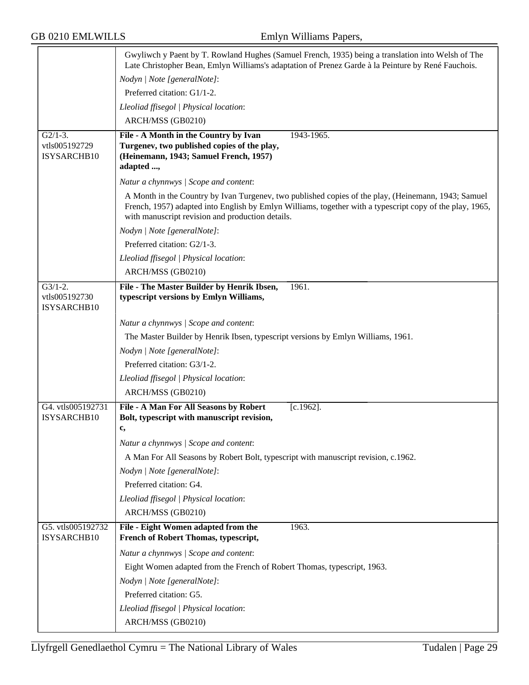|                                            | Gwyliwch y Paent by T. Rowland Hughes (Samuel French, 1935) being a translation into Welsh of The<br>Late Christopher Bean, Emlyn Williams's adaptation of Prenez Garde à la Peinture by René Fauchois.                                                             |
|--------------------------------------------|---------------------------------------------------------------------------------------------------------------------------------------------------------------------------------------------------------------------------------------------------------------------|
|                                            | Nodyn   Note [generalNote]:                                                                                                                                                                                                                                         |
|                                            | Preferred citation: G1/1-2.                                                                                                                                                                                                                                         |
|                                            | Lleoliad ffisegol   Physical location:                                                                                                                                                                                                                              |
|                                            | ARCH/MSS (GB0210)                                                                                                                                                                                                                                                   |
| $G2/1-3$ .<br>vtls005192729<br>ISYSARCHB10 | File - A Month in the Country by Ivan<br>1943-1965.<br>Turgenev, two published copies of the play,<br>(Heinemann, 1943; Samuel French, 1957)<br>adapted ,                                                                                                           |
|                                            | Natur a chynnwys / Scope and content:                                                                                                                                                                                                                               |
|                                            | A Month in the Country by Ivan Turgenev, two published copies of the play, (Heinemann, 1943; Samuel<br>French, 1957) adapted into English by Emlyn Williams, together with a typescript copy of the play, 1965,<br>with manuscript revision and production details. |
|                                            | Nodyn   Note [generalNote]:                                                                                                                                                                                                                                         |
|                                            | Preferred citation: G2/1-3.                                                                                                                                                                                                                                         |
|                                            | Lleoliad ffisegol   Physical location:                                                                                                                                                                                                                              |
|                                            | ARCH/MSS (GB0210)                                                                                                                                                                                                                                                   |
| $G3/1-2.$                                  | File - The Master Builder by Henrik Ibsen,<br>1961.                                                                                                                                                                                                                 |
| vtls005192730<br>ISYSARCHB10               | typescript versions by Emlyn Williams,                                                                                                                                                                                                                              |
|                                            | Natur a chynnwys / Scope and content:                                                                                                                                                                                                                               |
|                                            | The Master Builder by Henrik Ibsen, typescript versions by Emlyn Williams, 1961.                                                                                                                                                                                    |
|                                            | Nodyn   Note [generalNote]:                                                                                                                                                                                                                                         |
|                                            | Preferred citation: G3/1-2.                                                                                                                                                                                                                                         |
|                                            | Lleoliad ffisegol   Physical location:                                                                                                                                                                                                                              |
|                                            | ARCH/MSS (GB0210)                                                                                                                                                                                                                                                   |
| G4. vtls005192731                          | File - A Man For All Seasons by Robert<br>$[c.1962]$ .                                                                                                                                                                                                              |
| ISYSARCHB10                                | Bolt, typescript with manuscript revision,                                                                                                                                                                                                                          |
|                                            | c,                                                                                                                                                                                                                                                                  |
|                                            | Natur a chynnwys / Scope and content:                                                                                                                                                                                                                               |
|                                            | A Man For All Seasons by Robert Bolt, typescript with manuscript revision, c.1962.                                                                                                                                                                                  |
|                                            | Nodyn   Note [generalNote]:                                                                                                                                                                                                                                         |
|                                            | Preferred citation: G4.                                                                                                                                                                                                                                             |
|                                            | Lleoliad ffisegol   Physical location:                                                                                                                                                                                                                              |
|                                            | ARCH/MSS (GB0210)                                                                                                                                                                                                                                                   |
| G5. vtls005192732<br>ISYSARCHB10           | File - Eight Women adapted from the<br>1963.<br>French of Robert Thomas, typescript,                                                                                                                                                                                |
|                                            | Natur a chynnwys / Scope and content:                                                                                                                                                                                                                               |
|                                            | Eight Women adapted from the French of Robert Thomas, typescript, 1963.                                                                                                                                                                                             |
|                                            | Nodyn   Note [generalNote]:                                                                                                                                                                                                                                         |
|                                            | Preferred citation: G5.                                                                                                                                                                                                                                             |
|                                            | Lleoliad ffisegol   Physical location:                                                                                                                                                                                                                              |
|                                            | ARCH/MSS (GB0210)                                                                                                                                                                                                                                                   |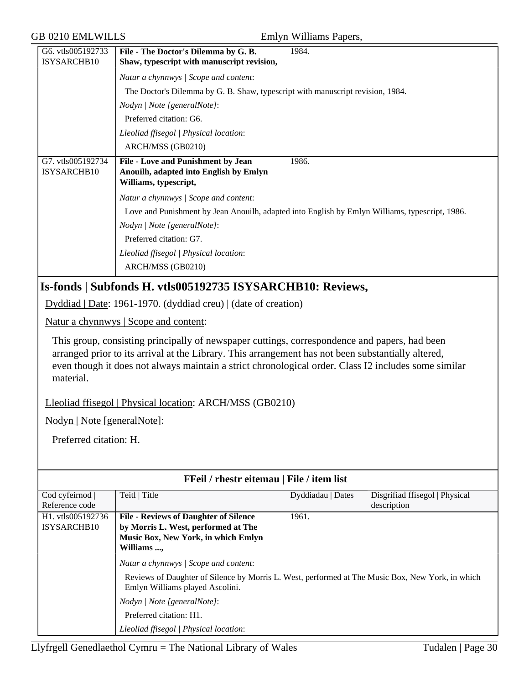| <b>GB 0210 EMLWILLS</b>                                                        |                                                                                                                                                                                                                                                                                                             | Emlyn Williams Papers, |                                               |  |
|--------------------------------------------------------------------------------|-------------------------------------------------------------------------------------------------------------------------------------------------------------------------------------------------------------------------------------------------------------------------------------------------------------|------------------------|-----------------------------------------------|--|
| G6. vtls005192733<br>ISYSARCHB10                                               | File - The Doctor's Dilemma by G. B.<br>Shaw, typescript with manuscript revision,                                                                                                                                                                                                                          | 1984.                  |                                               |  |
|                                                                                | Natur a chynnwys / Scope and content:                                                                                                                                                                                                                                                                       |                        |                                               |  |
| The Doctor's Dilemma by G. B. Shaw, typescript with manuscript revision, 1984. |                                                                                                                                                                                                                                                                                                             |                        |                                               |  |
|                                                                                | Nodyn   Note [generalNote]:                                                                                                                                                                                                                                                                                 |                        |                                               |  |
|                                                                                | Preferred citation: G6.                                                                                                                                                                                                                                                                                     |                        |                                               |  |
|                                                                                | Lleoliad ffisegol   Physical location:                                                                                                                                                                                                                                                                      |                        |                                               |  |
|                                                                                | ARCH/MSS (GB0210)                                                                                                                                                                                                                                                                                           |                        |                                               |  |
| G7. vtls005192734<br>ISYSARCHB10                                               | File - Love and Punishment by Jean<br>1986.<br>Anouilh, adapted into English by Emlyn<br>Williams, typescript,                                                                                                                                                                                              |                        |                                               |  |
|                                                                                | Natur a chynnwys / Scope and content:                                                                                                                                                                                                                                                                       |                        |                                               |  |
|                                                                                | Love and Punishment by Jean Anouilh, adapted into English by Emlyn Williams, typescript, 1986.                                                                                                                                                                                                              |                        |                                               |  |
|                                                                                | Nodyn   Note [generalNote]:                                                                                                                                                                                                                                                                                 |                        |                                               |  |
|                                                                                | Preferred citation: G7.                                                                                                                                                                                                                                                                                     |                        |                                               |  |
|                                                                                | Lleoliad ffisegol   Physical location:                                                                                                                                                                                                                                                                      |                        |                                               |  |
|                                                                                | ARCH/MSS (GB0210)                                                                                                                                                                                                                                                                                           |                        |                                               |  |
|                                                                                | Is-fonds   Subfonds H. vtls005192735 ISYSARCHB10: Reviews,                                                                                                                                                                                                                                                  |                        |                                               |  |
|                                                                                | Dyddiad   Date: 1961-1970. (dyddiad creu)   (date of creation)                                                                                                                                                                                                                                              |                        |                                               |  |
|                                                                                | Natur a chynnwys   Scope and content:                                                                                                                                                                                                                                                                       |                        |                                               |  |
| material.                                                                      | This group, consisting principally of newspaper cuttings, correspondence and papers, had been<br>arranged prior to its arrival at the Library. This arrangement has not been substantially altered,<br>even though it does not always maintain a strict chronological order. Class I2 includes some similar |                        |                                               |  |
|                                                                                | Lleoliad ffisegol   Physical location: ARCH/MSS (GB0210)                                                                                                                                                                                                                                                    |                        |                                               |  |
| Nodyn   Note [generalNote]:                                                    |                                                                                                                                                                                                                                                                                                             |                        |                                               |  |
| Preferred citation: H.                                                         |                                                                                                                                                                                                                                                                                                             |                        |                                               |  |
|                                                                                |                                                                                                                                                                                                                                                                                                             |                        |                                               |  |
|                                                                                | FFeil / rhestr eitemau   File / item list                                                                                                                                                                                                                                                                   |                        |                                               |  |
| Cod cyfeirnod<br>Reference code                                                | Teitl   Title                                                                                                                                                                                                                                                                                               | Dyddiadau   Dates      | Disgrifiad ffisegol   Physical<br>description |  |
| H1. vtls005192736<br>ISYSARCHB10                                               | <b>File - Reviews of Daughter of Silence</b><br>by Morris L. West, performed at The<br>Music Box, New York, in which Emlyn<br>Williams ,                                                                                                                                                                    | 1961.                  |                                               |  |
|                                                                                | Natur a chynnwys / Scope and content:                                                                                                                                                                                                                                                                       |                        |                                               |  |
|                                                                                | Reviews of Daughter of Silence by Morris L. West, performed at The Music Box, New York, in which<br>Emlyn Williams played Ascolini.                                                                                                                                                                         |                        |                                               |  |
|                                                                                | Nodyn   Note [generalNote]:                                                                                                                                                                                                                                                                                 |                        |                                               |  |
|                                                                                | Preferred citation: H1.                                                                                                                                                                                                                                                                                     |                        |                                               |  |
|                                                                                | Lleoliad ffisegol   Physical location:                                                                                                                                                                                                                                                                      |                        |                                               |  |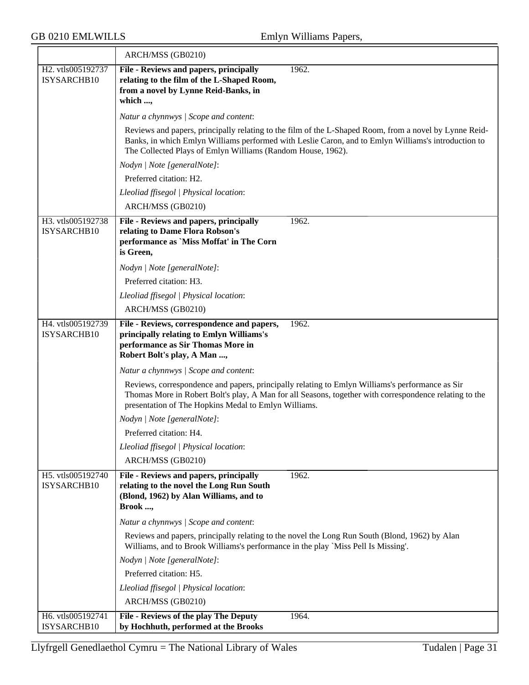|                                  | ARCH/MSS (GB0210)                                                                                                                                                                                                                                                 |
|----------------------------------|-------------------------------------------------------------------------------------------------------------------------------------------------------------------------------------------------------------------------------------------------------------------|
| H2. vtls005192737<br>ISYSARCHB10 | File - Reviews and papers, principally<br>1962.<br>relating to the film of the L-Shaped Room,                                                                                                                                                                     |
|                                  | from a novel by Lynne Reid-Banks, in<br>which ,                                                                                                                                                                                                                   |
|                                  | Natur a chynnwys / Scope and content:                                                                                                                                                                                                                             |
|                                  | Reviews and papers, principally relating to the film of the L-Shaped Room, from a novel by Lynne Reid-                                                                                                                                                            |
|                                  | Banks, in which Emlyn Williams performed with Leslie Caron, and to Emlyn Williams's introduction to<br>The Collected Plays of Emlyn Williams (Random House, 1962).                                                                                                |
|                                  | Nodyn   Note [generalNote]:                                                                                                                                                                                                                                       |
|                                  | Preferred citation: H2.                                                                                                                                                                                                                                           |
|                                  | Lleoliad ffisegol   Physical location:                                                                                                                                                                                                                            |
|                                  | ARCH/MSS (GB0210)                                                                                                                                                                                                                                                 |
| H3. vtls005192738<br>ISYSARCHB10 | 1962.<br>File - Reviews and papers, principally<br>relating to Dame Flora Robson's<br>performance as 'Miss Moffat' in The Corn<br>is Green,                                                                                                                       |
|                                  | Nodyn   Note [generalNote]:                                                                                                                                                                                                                                       |
|                                  | Preferred citation: H3.                                                                                                                                                                                                                                           |
|                                  | Lleoliad ffisegol   Physical location:                                                                                                                                                                                                                            |
|                                  | ARCH/MSS (GB0210)                                                                                                                                                                                                                                                 |
| H4. vtls005192739<br>ISYSARCHB10 | 1962.<br>File - Reviews, correspondence and papers,<br>principally relating to Emlyn Williams's<br>performance as Sir Thomas More in<br>Robert Bolt's play, A Man ,                                                                                               |
|                                  | Natur a chynnwys / Scope and content:                                                                                                                                                                                                                             |
|                                  | Reviews, correspondence and papers, principally relating to Emlyn Williams's performance as Sir<br>Thomas More in Robert Bolt's play, A Man for all Seasons, together with correspondence relating to the<br>presentation of The Hopkins Medal to Emlyn Williams. |
|                                  | Nodyn   Note [generalNote]:                                                                                                                                                                                                                                       |
|                                  | Preferred citation: H4.                                                                                                                                                                                                                                           |
|                                  | Lleoliad ffisegol   Physical location:                                                                                                                                                                                                                            |
|                                  | ARCH/MSS (GB0210)                                                                                                                                                                                                                                                 |
| H5. vtls005192740<br>ISYSARCHB10 | File - Reviews and papers, principally<br>1962.<br>relating to the novel the Long Run South<br>(Blond, 1962) by Alan Williams, and to<br>Brook ,                                                                                                                  |
|                                  | Natur a chynnwys / Scope and content:                                                                                                                                                                                                                             |
|                                  | Reviews and papers, principally relating to the novel the Long Run South (Blond, 1962) by Alan<br>Williams, and to Brook Williams's performance in the play 'Miss Pell Is Missing'.                                                                               |
|                                  | Nodyn   Note [generalNote]:                                                                                                                                                                                                                                       |
|                                  | Preferred citation: H5.                                                                                                                                                                                                                                           |
|                                  | Lleoliad ffisegol   Physical location:                                                                                                                                                                                                                            |
|                                  | ARCH/MSS (GB0210)                                                                                                                                                                                                                                                 |
| H6. vtls005192741<br>ISYSARCHB10 | File - Reviews of the play The Deputy<br>1964.<br>by Hochhuth, performed at the Brooks                                                                                                                                                                            |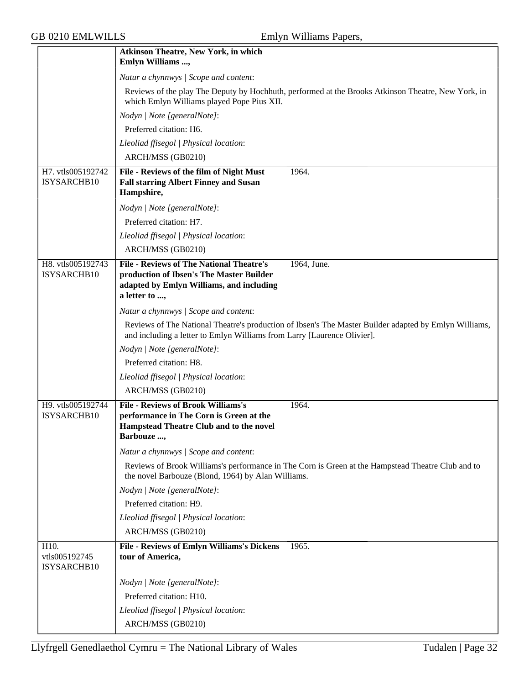|                                      | <b>Atkinson Theatre, New York, in which</b><br>Emlyn Williams ,                                                                                                                  |
|--------------------------------------|----------------------------------------------------------------------------------------------------------------------------------------------------------------------------------|
|                                      | Natur a chynnwys / Scope and content:                                                                                                                                            |
|                                      | Reviews of the play The Deputy by Hochhuth, performed at the Brooks Atkinson Theatre, New York, in<br>which Emlyn Williams played Pope Pius XII.                                 |
|                                      | Nodyn   Note [generalNote]:                                                                                                                                                      |
|                                      | Preferred citation: H6.                                                                                                                                                          |
|                                      | Lleoliad ffisegol   Physical location:                                                                                                                                           |
|                                      | ARCH/MSS (GB0210)                                                                                                                                                                |
| H7. vtls005192742<br>ISYSARCHB10     | File - Reviews of the film of Night Must<br>1964.<br><b>Fall starring Albert Finney and Susan</b><br>Hampshire,                                                                  |
|                                      | Nodyn   Note [generalNote]:                                                                                                                                                      |
|                                      | Preferred citation: H7.                                                                                                                                                          |
|                                      | Lleoliad ffisegol   Physical location:                                                                                                                                           |
|                                      | ARCH/MSS (GB0210)                                                                                                                                                                |
| H8. vtls005192743<br>ISYSARCHB10     | <b>File - Reviews of The National Theatre's</b><br>1964, June.<br>production of Ibsen's The Master Builder<br>adapted by Emlyn Williams, and including<br>a letter to ,          |
|                                      | Natur a chynnwys / Scope and content:                                                                                                                                            |
|                                      | Reviews of The National Theatre's production of Ibsen's The Master Builder adapted by Emlyn Williams,<br>and including a letter to Emlyn Williams from Larry [Laurence Olivier]. |
|                                      | Nodyn   Note [generalNote]:                                                                                                                                                      |
|                                      | Preferred citation: H8.                                                                                                                                                          |
|                                      | Lleoliad ffisegol   Physical location:                                                                                                                                           |
|                                      | ARCH/MSS (GB0210)                                                                                                                                                                |
| H9. vtls005192744<br>ISYSARCHB10     | <b>File - Reviews of Brook Williams's</b><br>1964.<br>performance in The Corn is Green at the<br>Hampstead Theatre Club and to the novel<br>Barbouze ,                           |
|                                      | Natur a chynnwys / Scope and content:                                                                                                                                            |
|                                      | Reviews of Brook Williams's performance in The Corn is Green at the Hampstead Theatre Club and to<br>the novel Barbouze (Blond, 1964) by Alan Williams.                          |
|                                      | Nodyn   Note [generalNote]:                                                                                                                                                      |
|                                      | Preferred citation: H9.                                                                                                                                                          |
|                                      | Lleoliad ffisegol   Physical location:                                                                                                                                           |
|                                      | ARCH/MSS (GB0210)                                                                                                                                                                |
| H10.<br>vtls005192745<br>ISYSARCHB10 | <b>File - Reviews of Emlyn Williams's Dickens</b><br>1965.<br>tour of America,                                                                                                   |
|                                      | Nodyn   Note [generalNote]:                                                                                                                                                      |
|                                      | Preferred citation: H10.                                                                                                                                                         |
|                                      | Lleoliad ffisegol   Physical location:                                                                                                                                           |
|                                      | ARCH/MSS (GB0210)                                                                                                                                                                |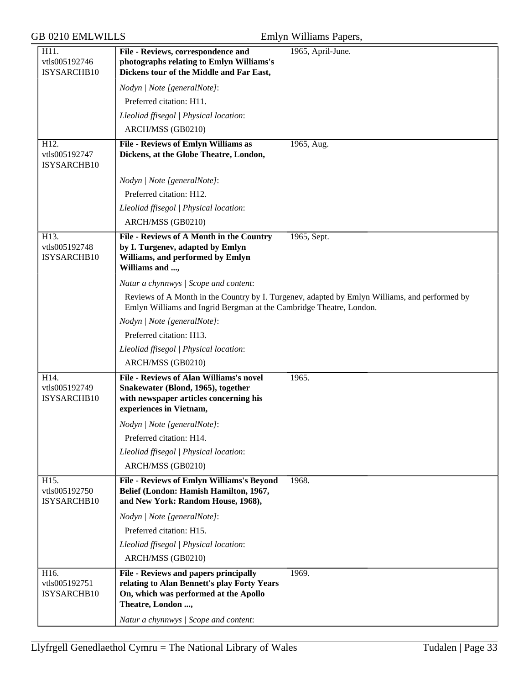| H11.                                 | File - Reviews, correspondence and                                                                                        | 1965, April-June.                                                                             |
|--------------------------------------|---------------------------------------------------------------------------------------------------------------------------|-----------------------------------------------------------------------------------------------|
| vtls005192746                        | photographs relating to Emlyn Williams's                                                                                  |                                                                                               |
| ISYSARCHB10                          | Dickens tour of the Middle and Far East,                                                                                  |                                                                                               |
|                                      | Nodyn   Note [generalNote]:                                                                                               |                                                                                               |
|                                      | Preferred citation: H11.                                                                                                  |                                                                                               |
|                                      | Lleoliad ffisegol   Physical location:                                                                                    |                                                                                               |
|                                      | ARCH/MSS (GB0210)                                                                                                         |                                                                                               |
| H12.<br>vtls005192747<br>ISYSARCHB10 | <b>File - Reviews of Emlyn Williams as</b><br>Dickens, at the Globe Theatre, London,                                      | 1965, Aug.                                                                                    |
|                                      | Nodyn   Note [generalNote]:                                                                                               |                                                                                               |
|                                      | Preferred citation: H12.                                                                                                  |                                                                                               |
|                                      | Lleoliad ffisegol   Physical location:                                                                                    |                                                                                               |
|                                      | ARCH/MSS (GB0210)                                                                                                         |                                                                                               |
| H13.                                 | File - Reviews of A Month in the Country                                                                                  | 1965, Sept.                                                                                   |
| vtls005192748<br>ISYSARCHB10         | by I. Turgenev, adapted by Emlyn<br>Williams, and performed by Emlyn<br>Williams and ,                                    |                                                                                               |
|                                      | Natur a chynnwys / Scope and content:                                                                                     |                                                                                               |
|                                      | Emlyn Williams and Ingrid Bergman at the Cambridge Theatre, London.                                                       | Reviews of A Month in the Country by I. Turgenev, adapted by Emlyn Williams, and performed by |
|                                      | Nodyn   Note [generalNote]:                                                                                               |                                                                                               |
|                                      | Preferred citation: H13.                                                                                                  |                                                                                               |
|                                      | Lleoliad ffisegol   Physical location:                                                                                    |                                                                                               |
|                                      | ARCH/MSS (GB0210)                                                                                                         |                                                                                               |
| H14.                                 | <b>File - Reviews of Alan Williams's novel</b>                                                                            | 1965.                                                                                         |
| vtls005192749<br>ISYSARCHB10         | Snakewater (Blond, 1965), together<br>with newspaper articles concerning his<br>experiences in Vietnam,                   |                                                                                               |
|                                      | Nodyn   Note [generalNote]:                                                                                               |                                                                                               |
|                                      | Preferred citation: H14.                                                                                                  |                                                                                               |
|                                      | Lleoliad ffisegol   Physical location:                                                                                    |                                                                                               |
|                                      | ARCH/MSS (GB0210)                                                                                                         |                                                                                               |
| H15.<br>vtls005192750<br>ISYSARCHB10 | File - Reviews of Emlyn Williams's Beyond<br>Belief (London: Hamish Hamilton, 1967,<br>and New York: Random House, 1968), | 1968.                                                                                         |
|                                      | Nodyn   Note [generalNote]:                                                                                               |                                                                                               |
|                                      | Preferred citation: H15.                                                                                                  |                                                                                               |
|                                      | Lleoliad ffisegol   Physical location:                                                                                    |                                                                                               |
|                                      | ARCH/MSS (GB0210)                                                                                                         |                                                                                               |
| H16.                                 | File - Reviews and papers principally                                                                                     | 1969.                                                                                         |
| vtls005192751<br>ISYSARCHB10         | relating to Alan Bennett's play Forty Years<br>On, which was performed at the Apollo<br>Theatre, London ,                 |                                                                                               |
|                                      | Natur a chynnwys / Scope and content:                                                                                     |                                                                                               |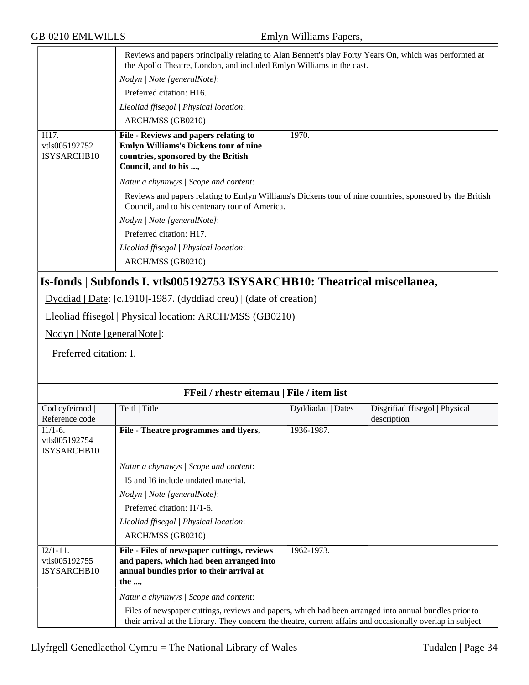| <b>GB 0210 EMLWILLS</b>                                  |                                                                                                                                                                               | Emlyn Williams Papers,                    |                                |  |
|----------------------------------------------------------|-------------------------------------------------------------------------------------------------------------------------------------------------------------------------------|-------------------------------------------|--------------------------------|--|
|                                                          | Reviews and papers principally relating to Alan Bennett's play Forty Years On, which was performed at<br>the Apollo Theatre, London, and included Emlyn Williams in the cast. |                                           |                                |  |
|                                                          | Nodyn   Note [generalNote]:                                                                                                                                                   |                                           |                                |  |
|                                                          | Preferred citation: H16.                                                                                                                                                      |                                           |                                |  |
|                                                          | Lleoliad ffisegol   Physical location:                                                                                                                                        |                                           |                                |  |
|                                                          | ARCH/MSS (GB0210)                                                                                                                                                             |                                           |                                |  |
| H <sub>17</sub> .<br>vtls005192752<br><b>ISYSARCHB10</b> | File - Reviews and papers relating to<br>Emlyn Williams's Dickens tour of nine<br>countries, sponsored by the British<br>Council, and to his ,                                | 1970.                                     |                                |  |
|                                                          | Natur a chynnwys / Scope and content:                                                                                                                                         |                                           |                                |  |
|                                                          | Reviews and papers relating to Emlyn Williams's Dickens tour of nine countries, sponsored by the British<br>Council, and to his centenary tour of America.                    |                                           |                                |  |
|                                                          | Nodyn   Note [generalNote]:                                                                                                                                                   |                                           |                                |  |
|                                                          | Preferred citation: H17.                                                                                                                                                      |                                           |                                |  |
|                                                          | Lleoliad ffisegol   Physical location:                                                                                                                                        |                                           |                                |  |
|                                                          | ARCH/MSS (GB0210)                                                                                                                                                             |                                           |                                |  |
|                                                          | Is-fonds   Subfonds I. vtls005192753 ISYSARCHB10: Theatrical miscellanea,                                                                                                     |                                           |                                |  |
|                                                          | Dyddiad   Date: [c.1910]-1987. (dyddiad creu)   (date of creation)                                                                                                            |                                           |                                |  |
|                                                          | Lleoliad ffisegol   Physical location: ARCH/MSS (GB0210)                                                                                                                      |                                           |                                |  |
| Nodyn   Note [generalNote]:                              |                                                                                                                                                                               |                                           |                                |  |
|                                                          |                                                                                                                                                                               |                                           |                                |  |
|                                                          | Preferred citation: I.                                                                                                                                                        |                                           |                                |  |
|                                                          |                                                                                                                                                                               |                                           |                                |  |
|                                                          |                                                                                                                                                                               | FFeil / rhestr eitemau   File / item list |                                |  |
| Cod cyfeirnod                                            | Teitl   Title                                                                                                                                                                 | Dyddiadau   Dates                         | Disgrifiad ffisegol   Physical |  |
| Reference code                                           |                                                                                                                                                                               |                                           | description                    |  |
| $11/1 - 6$ .<br>vtls005192754                            | File - Theatre programmes and flyers,                                                                                                                                         | 1936-1987.                                |                                |  |
| ISYSARCHB10                                              |                                                                                                                                                                               |                                           |                                |  |

| FFeil / rhestr eitemau   File / item list   |                                                                                                                                                                                                                      |                   |                                               |
|---------------------------------------------|----------------------------------------------------------------------------------------------------------------------------------------------------------------------------------------------------------------------|-------------------|-----------------------------------------------|
| Cod cyfeirnod  <br>Reference code           | Teitl   Title                                                                                                                                                                                                        | Dyddiadau   Dates | Disgrifiad ffisegol   Physical<br>description |
| $I1/1-6.$<br>vtls005192754<br>ISYSARCHB10   | File - Theatre programmes and flyers,                                                                                                                                                                                | 1936-1987.        |                                               |
|                                             | Natur a chynnwys / Scope and content:                                                                                                                                                                                |                   |                                               |
|                                             | I5 and I6 include undated material.                                                                                                                                                                                  |                   |                                               |
|                                             | Nodyn   Note [generalNote]:                                                                                                                                                                                          |                   |                                               |
|                                             | Preferred citation: I1/1-6.                                                                                                                                                                                          |                   |                                               |
|                                             | Lleoliad ffisegol   Physical location:                                                                                                                                                                               |                   |                                               |
|                                             | ARCH/MSS (GB0210)                                                                                                                                                                                                    |                   |                                               |
| $I2/1-11$ .<br>vtls005192755<br>ISYSARCHB10 | File - Files of newspaper cuttings, reviews<br>and papers, which had been arranged into<br>annual bundles prior to their arrival at<br>the ,                                                                         | 1962-1973.        |                                               |
|                                             | Natur a chynnwys / Scope and content:                                                                                                                                                                                |                   |                                               |
|                                             | Files of newspaper cuttings, reviews and papers, which had been arranged into annual bundles prior to<br>their arrival at the Library. They concern the theatre, current affairs and occasionally overlap in subject |                   |                                               |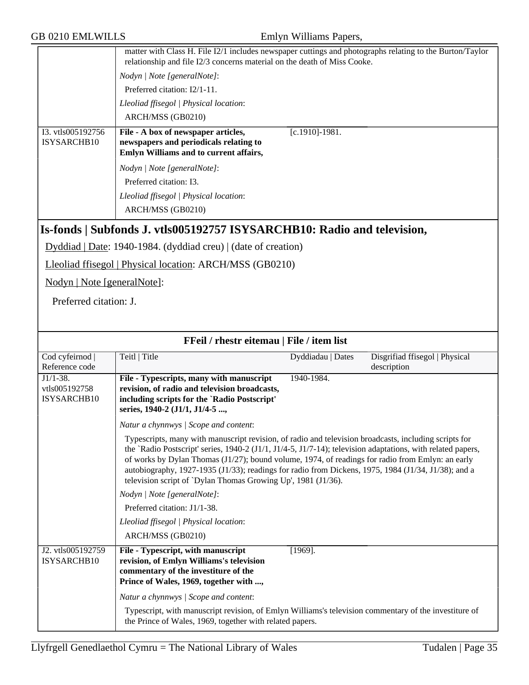|                                  | matter with Class H. File I2/1 includes newspaper cuttings and photographs relating to the Burton/Taylor<br>relationship and file I2/3 concerns material on the death of Miss Cooke. |  |  |
|----------------------------------|--------------------------------------------------------------------------------------------------------------------------------------------------------------------------------------|--|--|
|                                  | Nodyn / Note [generalNote]:<br>Preferred citation: I2/1-11.                                                                                                                          |  |  |
|                                  |                                                                                                                                                                                      |  |  |
|                                  | Lleoliad ffisegol   Physical location:                                                                                                                                               |  |  |
|                                  | ARCH/MSS (GB0210)                                                                                                                                                                    |  |  |
| I3. vtls005192756<br>ISYSARCHB10 | File - A box of newspaper articles,<br>$[c.1910] - 1981.$<br>newspapers and periodicals relating to<br>Emlyn Williams and to current affairs,                                        |  |  |
|                                  | Nodyn / Note [generalNote]:                                                                                                                                                          |  |  |
|                                  | Preferred citation: I3.                                                                                                                                                              |  |  |
|                                  | Lleoliad ffisegol   Physical location:                                                                                                                                               |  |  |
|                                  | ARCH/MSS (GB0210)                                                                                                                                                                    |  |  |
|                                  | [Is-fonds   Subfonds J. vtls005192757 ISYSARCHB10: Radio and television,                                                                                                             |  |  |

Dyddiad | Date: 1940-1984. (dyddiad creu) | (date of creation)

Lleoliad ffisegol | Physical location: ARCH/MSS (GB0210)

Nodyn | Note [generalNote]:

Preferred citation: J.

| FFeil / rhestr eitemau   File / item list  |                                                                                                                                                                                                                                                                                                                                                                                                                                                                                                     |                   |                                               |
|--------------------------------------------|-----------------------------------------------------------------------------------------------------------------------------------------------------------------------------------------------------------------------------------------------------------------------------------------------------------------------------------------------------------------------------------------------------------------------------------------------------------------------------------------------------|-------------------|-----------------------------------------------|
| Cod cyfeirnod<br>Reference code            | Teitl   Title                                                                                                                                                                                                                                                                                                                                                                                                                                                                                       | Dyddiadau   Dates | Disgrifiad ffisegol   Physical<br>description |
| $J1/1-38.$<br>vtls005192758<br>ISYSARCHB10 | File - Typescripts, many with manuscript<br>revision, of radio and television broadcasts,<br>including scripts for the 'Radio Postscript'<br>series, 1940-2 (J1/1, J1/4-5 ,                                                                                                                                                                                                                                                                                                                         | 1940-1984.        |                                               |
|                                            | Natur a chynnwys / Scope and content:                                                                                                                                                                                                                                                                                                                                                                                                                                                               |                   |                                               |
|                                            | Typescripts, many with manuscript revision, of radio and television broadcasts, including scripts for<br>the 'Radio Postscript' series, 1940-2 (J1/1, J1/4-5, J1/7-14); television adaptations, with related papers,<br>of works by Dylan Thomas $(J1/27)$ ; bound volume, 1974, of readings for radio from Emlyn: an early<br>autobiography, 1927-1935 (J1/33); readings for radio from Dickens, 1975, 1984 (J1/34, J1/38); and a<br>television script of `Dylan Thomas Growing Up', 1981 (J1/36). |                   |                                               |
|                                            | Nodyn   Note [generalNote]:                                                                                                                                                                                                                                                                                                                                                                                                                                                                         |                   |                                               |
|                                            | Preferred citation: J1/1-38.                                                                                                                                                                                                                                                                                                                                                                                                                                                                        |                   |                                               |
|                                            | Lleoliad ffisegol   Physical location:                                                                                                                                                                                                                                                                                                                                                                                                                                                              |                   |                                               |
|                                            | ARCH/MSS (GB0210)                                                                                                                                                                                                                                                                                                                                                                                                                                                                                   |                   |                                               |
| J2. vtls005192759<br>ISYSARCHB10           | File - Typescript, with manuscript<br>revision, of Emlyn Williams's television<br>commentary of the investiture of the<br>Prince of Wales, 1969, together with ,                                                                                                                                                                                                                                                                                                                                    | $[1969]$ .        |                                               |
|                                            | Natur a chynnwys / Scope and content:                                                                                                                                                                                                                                                                                                                                                                                                                                                               |                   |                                               |
|                                            | Typescript, with manuscript revision, of Emlyn Williams's television commentary of the investiture of<br>the Prince of Wales, 1969, together with related papers.                                                                                                                                                                                                                                                                                                                                   |                   |                                               |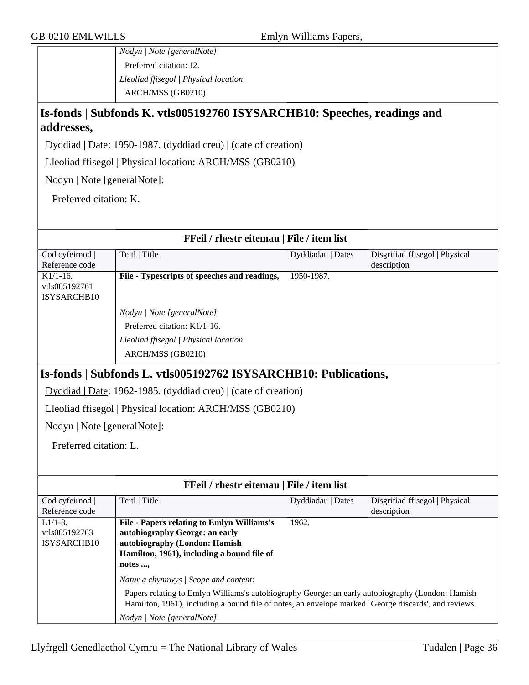*Nodyn | Note [generalNote]*: Preferred citation: J2. *Lleoliad ffisegol | Physical location*: ARCH/MSS (GB0210)

# **Is-fonds | Subfonds K. vtls005192760 ISYSARCHB10: Speeches, readings and addresses,**

Dyddiad | Date: 1950-1987. (dyddiad creu) | (date of creation)

Lleoliad ffisegol | Physical location: ARCH/MSS (GB0210)

Nodyn | Note [generalNote]:

Preferred citation: K.

| Cod cyfeirnod  <br>Teitl   Title<br>Dyddiadau   Dates<br>Disgrifiad ffisegol   Physical<br>Reference code<br>description<br>1950-1987.<br>$K1/1-16$ .<br>File - Typescripts of speeches and readings,<br>vtls005192761<br>ISYSARCHB10<br>Nodyn   Note [generalNote]:<br>Preferred citation: K1/1-16.<br>Lleoliad ffisegol   Physical location:<br>ARCH/MSS (GB0210)<br>Is-fonds   Subfonds L. vtls005192762 ISYSARCHB10: Publications,<br>Dyddiad   Date: 1962-1985. (dyddiad creu)   (date of creation)<br>Lleoliad ffisegol   Physical location: ARCH/MSS (GB0210)<br>Nodyn   Note [generalNote]:<br>Preferred citation: L.<br>FFeil / rhestr eitemau   File / item list<br>Cod cyfeirnod  <br>Teitl   Title<br>Dyddiadau   Dates<br>Disgrifiad ffisegol   Physical<br>Reference code<br>description<br><b>File - Papers relating to Emlyn Williams's</b><br>1962.<br>$L1/1-3.$<br>autobiography George: an early<br>vtls005192763<br>autobiography (London: Hamish<br>ISYSARCHB10<br>Hamilton, 1961), including a bound file of<br>notes ,<br>Natur a chynnwys / Scope and content:<br>Papers relating to Emlyn Williams's autobiography George: an early autobiography (London: Hamish<br>Hamilton, 1961), including a bound file of notes, an envelope marked `George discards', and reviews.<br>Nodyn   Note [generalNote]: |                                           |  |  |  |
|-----------------------------------------------------------------------------------------------------------------------------------------------------------------------------------------------------------------------------------------------------------------------------------------------------------------------------------------------------------------------------------------------------------------------------------------------------------------------------------------------------------------------------------------------------------------------------------------------------------------------------------------------------------------------------------------------------------------------------------------------------------------------------------------------------------------------------------------------------------------------------------------------------------------------------------------------------------------------------------------------------------------------------------------------------------------------------------------------------------------------------------------------------------------------------------------------------------------------------------------------------------------------------------------------------------------------------------|-------------------------------------------|--|--|--|
|                                                                                                                                                                                                                                                                                                                                                                                                                                                                                                                                                                                                                                                                                                                                                                                                                                                                                                                                                                                                                                                                                                                                                                                                                                                                                                                                   | FFeil / rhestr eitemau   File / item list |  |  |  |
|                                                                                                                                                                                                                                                                                                                                                                                                                                                                                                                                                                                                                                                                                                                                                                                                                                                                                                                                                                                                                                                                                                                                                                                                                                                                                                                                   |                                           |  |  |  |
|                                                                                                                                                                                                                                                                                                                                                                                                                                                                                                                                                                                                                                                                                                                                                                                                                                                                                                                                                                                                                                                                                                                                                                                                                                                                                                                                   |                                           |  |  |  |
|                                                                                                                                                                                                                                                                                                                                                                                                                                                                                                                                                                                                                                                                                                                                                                                                                                                                                                                                                                                                                                                                                                                                                                                                                                                                                                                                   |                                           |  |  |  |
|                                                                                                                                                                                                                                                                                                                                                                                                                                                                                                                                                                                                                                                                                                                                                                                                                                                                                                                                                                                                                                                                                                                                                                                                                                                                                                                                   |                                           |  |  |  |
|                                                                                                                                                                                                                                                                                                                                                                                                                                                                                                                                                                                                                                                                                                                                                                                                                                                                                                                                                                                                                                                                                                                                                                                                                                                                                                                                   |                                           |  |  |  |
|                                                                                                                                                                                                                                                                                                                                                                                                                                                                                                                                                                                                                                                                                                                                                                                                                                                                                                                                                                                                                                                                                                                                                                                                                                                                                                                                   |                                           |  |  |  |
|                                                                                                                                                                                                                                                                                                                                                                                                                                                                                                                                                                                                                                                                                                                                                                                                                                                                                                                                                                                                                                                                                                                                                                                                                                                                                                                                   |                                           |  |  |  |
|                                                                                                                                                                                                                                                                                                                                                                                                                                                                                                                                                                                                                                                                                                                                                                                                                                                                                                                                                                                                                                                                                                                                                                                                                                                                                                                                   |                                           |  |  |  |
|                                                                                                                                                                                                                                                                                                                                                                                                                                                                                                                                                                                                                                                                                                                                                                                                                                                                                                                                                                                                                                                                                                                                                                                                                                                                                                                                   |                                           |  |  |  |
|                                                                                                                                                                                                                                                                                                                                                                                                                                                                                                                                                                                                                                                                                                                                                                                                                                                                                                                                                                                                                                                                                                                                                                                                                                                                                                                                   |                                           |  |  |  |
|                                                                                                                                                                                                                                                                                                                                                                                                                                                                                                                                                                                                                                                                                                                                                                                                                                                                                                                                                                                                                                                                                                                                                                                                                                                                                                                                   |                                           |  |  |  |
|                                                                                                                                                                                                                                                                                                                                                                                                                                                                                                                                                                                                                                                                                                                                                                                                                                                                                                                                                                                                                                                                                                                                                                                                                                                                                                                                   |                                           |  |  |  |
|                                                                                                                                                                                                                                                                                                                                                                                                                                                                                                                                                                                                                                                                                                                                                                                                                                                                                                                                                                                                                                                                                                                                                                                                                                                                                                                                   |                                           |  |  |  |
|                                                                                                                                                                                                                                                                                                                                                                                                                                                                                                                                                                                                                                                                                                                                                                                                                                                                                                                                                                                                                                                                                                                                                                                                                                                                                                                                   |                                           |  |  |  |
|                                                                                                                                                                                                                                                                                                                                                                                                                                                                                                                                                                                                                                                                                                                                                                                                                                                                                                                                                                                                                                                                                                                                                                                                                                                                                                                                   |                                           |  |  |  |
|                                                                                                                                                                                                                                                                                                                                                                                                                                                                                                                                                                                                                                                                                                                                                                                                                                                                                                                                                                                                                                                                                                                                                                                                                                                                                                                                   |                                           |  |  |  |
|                                                                                                                                                                                                                                                                                                                                                                                                                                                                                                                                                                                                                                                                                                                                                                                                                                                                                                                                                                                                                                                                                                                                                                                                                                                                                                                                   |                                           |  |  |  |
|                                                                                                                                                                                                                                                                                                                                                                                                                                                                                                                                                                                                                                                                                                                                                                                                                                                                                                                                                                                                                                                                                                                                                                                                                                                                                                                                   |                                           |  |  |  |
|                                                                                                                                                                                                                                                                                                                                                                                                                                                                                                                                                                                                                                                                                                                                                                                                                                                                                                                                                                                                                                                                                                                                                                                                                                                                                                                                   |                                           |  |  |  |
|                                                                                                                                                                                                                                                                                                                                                                                                                                                                                                                                                                                                                                                                                                                                                                                                                                                                                                                                                                                                                                                                                                                                                                                                                                                                                                                                   |                                           |  |  |  |
|                                                                                                                                                                                                                                                                                                                                                                                                                                                                                                                                                                                                                                                                                                                                                                                                                                                                                                                                                                                                                                                                                                                                                                                                                                                                                                                                   |                                           |  |  |  |
|                                                                                                                                                                                                                                                                                                                                                                                                                                                                                                                                                                                                                                                                                                                                                                                                                                                                                                                                                                                                                                                                                                                                                                                                                                                                                                                                   |                                           |  |  |  |
|                                                                                                                                                                                                                                                                                                                                                                                                                                                                                                                                                                                                                                                                                                                                                                                                                                                                                                                                                                                                                                                                                                                                                                                                                                                                                                                                   |                                           |  |  |  |
|                                                                                                                                                                                                                                                                                                                                                                                                                                                                                                                                                                                                                                                                                                                                                                                                                                                                                                                                                                                                                                                                                                                                                                                                                                                                                                                                   |                                           |  |  |  |
|                                                                                                                                                                                                                                                                                                                                                                                                                                                                                                                                                                                                                                                                                                                                                                                                                                                                                                                                                                                                                                                                                                                                                                                                                                                                                                                                   |                                           |  |  |  |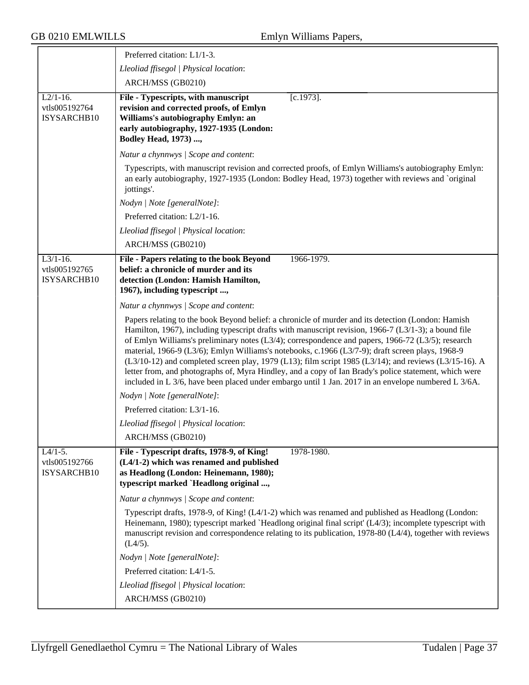|                                             | Preferred citation: L1/1-3.                                                                                                                                                                                                                                                                                                                                                                                                                                                                                                                                                                                                                                                                                                                        |
|---------------------------------------------|----------------------------------------------------------------------------------------------------------------------------------------------------------------------------------------------------------------------------------------------------------------------------------------------------------------------------------------------------------------------------------------------------------------------------------------------------------------------------------------------------------------------------------------------------------------------------------------------------------------------------------------------------------------------------------------------------------------------------------------------------|
|                                             | Lleoliad ffisegol   Physical location:                                                                                                                                                                                                                                                                                                                                                                                                                                                                                                                                                                                                                                                                                                             |
|                                             | ARCH/MSS (GB0210)                                                                                                                                                                                                                                                                                                                                                                                                                                                                                                                                                                                                                                                                                                                                  |
| $L2/1-16$ .<br>vtls005192764<br>ISYSARCHB10 | $[c.1973]$ .<br>File - Typescripts, with manuscript<br>revision and corrected proofs, of Emlyn<br>Williams's autobiography Emlyn: an<br>early autobiography, 1927-1935 (London:<br><b>Bodley Head, 1973) ,</b>                                                                                                                                                                                                                                                                                                                                                                                                                                                                                                                                     |
|                                             | Natur a chynnwys / Scope and content:                                                                                                                                                                                                                                                                                                                                                                                                                                                                                                                                                                                                                                                                                                              |
|                                             | Typescripts, with manuscript revision and corrected proofs, of Emlyn Williams's autobiography Emlyn:<br>an early autobiography, 1927-1935 (London: Bodley Head, 1973) together with reviews and `original<br>jottings'.                                                                                                                                                                                                                                                                                                                                                                                                                                                                                                                            |
|                                             | Nodyn   Note [generalNote]:                                                                                                                                                                                                                                                                                                                                                                                                                                                                                                                                                                                                                                                                                                                        |
|                                             | Preferred citation: L2/1-16.                                                                                                                                                                                                                                                                                                                                                                                                                                                                                                                                                                                                                                                                                                                       |
|                                             | Lleoliad ffisegol   Physical location:                                                                                                                                                                                                                                                                                                                                                                                                                                                                                                                                                                                                                                                                                                             |
|                                             | ARCH/MSS (GB0210)                                                                                                                                                                                                                                                                                                                                                                                                                                                                                                                                                                                                                                                                                                                                  |
| $L3/1-16$ .<br>vtls005192765<br>ISYSARCHB10 | 1966-1979.<br>File - Papers relating to the book Beyond<br>belief: a chronicle of murder and its<br>detection (London: Hamish Hamilton,<br>1967), including typescript ,                                                                                                                                                                                                                                                                                                                                                                                                                                                                                                                                                                           |
|                                             | Natur a chynnwys / Scope and content:                                                                                                                                                                                                                                                                                                                                                                                                                                                                                                                                                                                                                                                                                                              |
|                                             | Papers relating to the book Beyond belief: a chronicle of murder and its detection (London: Hamish<br>Hamilton, 1967), including typescript drafts with manuscript revision, 1966-7 ( $L3/1-3$ ); a bound file<br>of Emlyn Williams's preliminary notes (L3/4); correspondence and papers, 1966-72 (L3/5); research<br>material, 1966-9 (L3/6); Emlyn Williams's notebooks, c.1966 (L3/7-9); draft screen plays, 1968-9<br>$(L3/10-12)$ and completed screen play, 1979 (L13); film script 1985 (L3/14); and reviews (L3/15-16). A<br>letter from, and photographs of, Myra Hindley, and a copy of Ian Brady's police statement, which were<br>included in L 3/6, have been placed under embargo until 1 Jan. 2017 in an envelope numbered L 3/6A. |
|                                             | Nodyn   Note [generalNote]:                                                                                                                                                                                                                                                                                                                                                                                                                                                                                                                                                                                                                                                                                                                        |
|                                             | Preferred citation: L3/1-16.                                                                                                                                                                                                                                                                                                                                                                                                                                                                                                                                                                                                                                                                                                                       |
|                                             | Lleoliad ffisegol   Physical location:                                                                                                                                                                                                                                                                                                                                                                                                                                                                                                                                                                                                                                                                                                             |
|                                             | ARCH/MSS (GB0210)                                                                                                                                                                                                                                                                                                                                                                                                                                                                                                                                                                                                                                                                                                                                  |
| $L4/1-5.$<br>vtls005192766<br>ISYSARCHB10   | File - Typescript drafts, 1978-9, of King!<br>1978-1980.<br>(L4/1-2) which was renamed and published<br>as Headlong (London: Heinemann, 1980);<br>typescript marked `Headlong original ,                                                                                                                                                                                                                                                                                                                                                                                                                                                                                                                                                           |
|                                             | Natur a chynnwys / Scope and content:                                                                                                                                                                                                                                                                                                                                                                                                                                                                                                                                                                                                                                                                                                              |
|                                             | Typescript drafts, 1978-9, of King! (L4/1-2) which was renamed and published as Headlong (London:<br>Heinemann, 1980); typescript marked 'Headlong original final script' $(L4/3)$ ; incomplete typescript with<br>manuscript revision and correspondence relating to its publication, 1978-80 (L4/4), together with reviews<br>(L4/5).                                                                                                                                                                                                                                                                                                                                                                                                            |
|                                             | Nodyn   Note [generalNote]:                                                                                                                                                                                                                                                                                                                                                                                                                                                                                                                                                                                                                                                                                                                        |
|                                             | Preferred citation: L4/1-5.                                                                                                                                                                                                                                                                                                                                                                                                                                                                                                                                                                                                                                                                                                                        |
|                                             | Lleoliad ffisegol   Physical location:                                                                                                                                                                                                                                                                                                                                                                                                                                                                                                                                                                                                                                                                                                             |
|                                             | ARCH/MSS (GB0210)                                                                                                                                                                                                                                                                                                                                                                                                                                                                                                                                                                                                                                                                                                                                  |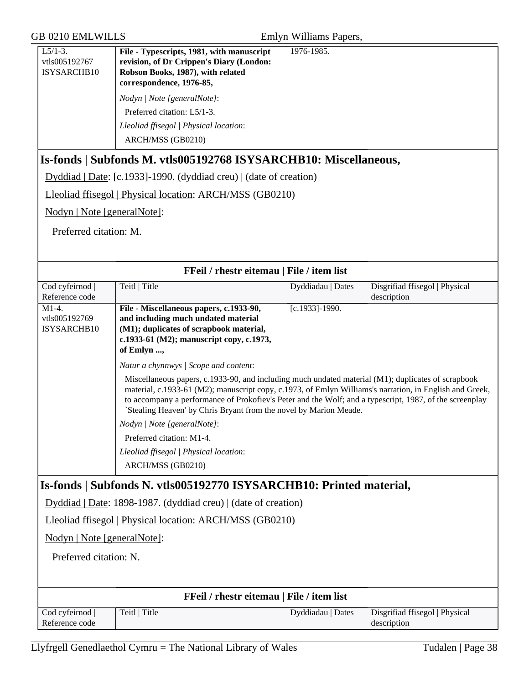| GB 0210 EMLWILLS                          |                                                                                                                                                                                                                                                                                                                                                                                               | Emlyn Williams Papers, |                                |
|-------------------------------------------|-----------------------------------------------------------------------------------------------------------------------------------------------------------------------------------------------------------------------------------------------------------------------------------------------------------------------------------------------------------------------------------------------|------------------------|--------------------------------|
| $L5/1-3.$<br>vtls005192767<br>ISYSARCHB10 | File - Typescripts, 1981, with manuscript<br>revision, of Dr Crippen's Diary (London:<br>Robson Books, 1987), with related<br>correspondence, 1976-85,                                                                                                                                                                                                                                        | 1976-1985.             |                                |
|                                           | Nodyn   Note [generalNote]:                                                                                                                                                                                                                                                                                                                                                                   |                        |                                |
|                                           | Preferred citation: L5/1-3.                                                                                                                                                                                                                                                                                                                                                                   |                        |                                |
|                                           | Lleoliad ffisegol   Physical location:                                                                                                                                                                                                                                                                                                                                                        |                        |                                |
|                                           | ARCH/MSS (GB0210)                                                                                                                                                                                                                                                                                                                                                                             |                        |                                |
|                                           | Is-fonds   Subfonds M. vtls005192768 ISYSARCHB10: Miscellaneous,                                                                                                                                                                                                                                                                                                                              |                        |                                |
|                                           | Dyddiad   Date: [c.1933]-1990. (dyddiad creu)   (date of creation)                                                                                                                                                                                                                                                                                                                            |                        |                                |
|                                           | Lleoliad ffisegol   Physical location: ARCH/MSS (GB0210)                                                                                                                                                                                                                                                                                                                                      |                        |                                |
| Nodyn   Note [generalNote]:               |                                                                                                                                                                                                                                                                                                                                                                                               |                        |                                |
| Preferred citation: M.                    |                                                                                                                                                                                                                                                                                                                                                                                               |                        |                                |
|                                           |                                                                                                                                                                                                                                                                                                                                                                                               |                        |                                |
|                                           |                                                                                                                                                                                                                                                                                                                                                                                               |                        |                                |
| Cod cyfeirnod                             | FFeil / rhestr eitemau   File / item list<br>Teitl   Title                                                                                                                                                                                                                                                                                                                                    | Dyddiadau   Dates      | Disgrifiad ffisegol   Physical |
| Reference code                            |                                                                                                                                                                                                                                                                                                                                                                                               |                        | description                    |
| $M1-4.$<br>vtls005192769<br>ISYSARCHB10   | File - Miscellaneous papers, c.1933-90,<br>and including much undated material<br>(M1); duplicates of scrapbook material,<br>c.1933-61 (M2); manuscript copy, c.1973,<br>of Emlyn ,                                                                                                                                                                                                           | [c.1933]-1990.         |                                |
|                                           | Natur a chynnwys   Scope and content:                                                                                                                                                                                                                                                                                                                                                         |                        |                                |
|                                           | Miscellaneous papers, c.1933-90, and including much undated material (M1); duplicates of scrapbook<br>material, c.1933-61 (M2); manuscript copy, c.1973, of Emlyn Williams's narration, in English and Greek,<br>to accompany a performance of Prokofiev's Peter and the Wolf; and a typescript, 1987, of the screenplay<br>`Stealing Heaven' by Chris Bryant from the novel by Marion Meade. |                        |                                |
|                                           | Nodyn   Note [generalNote]:                                                                                                                                                                                                                                                                                                                                                                   |                        |                                |
|                                           | Preferred citation: M1-4.                                                                                                                                                                                                                                                                                                                                                                     |                        |                                |
|                                           | Lleoliad ffisegol   Physical location:                                                                                                                                                                                                                                                                                                                                                        |                        |                                |
|                                           | ARCH/MSS (GB0210)                                                                                                                                                                                                                                                                                                                                                                             |                        |                                |
|                                           | Is-fonds   Subfonds N. vtls005192770 ISYSARCHB10: Printed material,                                                                                                                                                                                                                                                                                                                           |                        |                                |
|                                           | Dyddiad   Date: 1898-1987. (dyddiad creu)   (date of creation)                                                                                                                                                                                                                                                                                                                                |                        |                                |
|                                           | Lleoliad ffisegol   Physical location: ARCH/MSS (GB0210)                                                                                                                                                                                                                                                                                                                                      |                        |                                |
| Nodyn   Note [generalNote]:               |                                                                                                                                                                                                                                                                                                                                                                                               |                        |                                |
|                                           | Preferred citation: N.                                                                                                                                                                                                                                                                                                                                                                        |                        |                                |
|                                           |                                                                                                                                                                                                                                                                                                                                                                                               |                        |                                |
| FFeil / rhestr eitemau   File / item list |                                                                                                                                                                                                                                                                                                                                                                                               |                        |                                |
| Cod cyfeirnod                             | Teitl   Title                                                                                                                                                                                                                                                                                                                                                                                 | Dyddiadau   Dates      | Disgrifiad ffisegol   Physical |
| Reference code                            |                                                                                                                                                                                                                                                                                                                                                                                               |                        | description                    |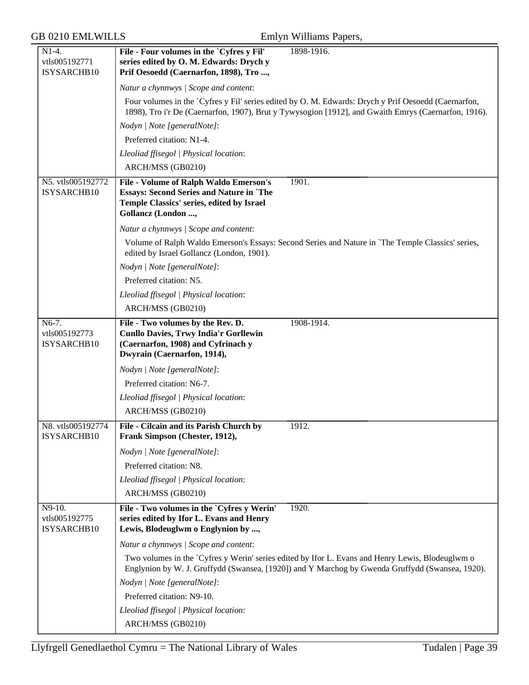| $N1-4.$                                | File - Four volumes in the `Cyfres y Fil'<br>1898-1916.                                                                                                                                                      |
|----------------------------------------|--------------------------------------------------------------------------------------------------------------------------------------------------------------------------------------------------------------|
| vtls005192771                          | series edited by O. M. Edwards: Drych y                                                                                                                                                                      |
| ISYSARCHB10                            | Prif Oesoedd (Caernarfon, 1898), Tro,                                                                                                                                                                        |
|                                        | Natur a chynnwys / Scope and content:                                                                                                                                                                        |
|                                        | Four volumes in the `Cyfres y Fil' series edited by O. M. Edwards: Drych y Prif Oesoedd (Caernarfon,<br>1898), Tro i'r De (Caernarfon, 1907), Brut y Tywysogion [1912], and Gwaith Emrys (Caernarfon, 1916). |
|                                        | Nodyn   Note [generalNote]:                                                                                                                                                                                  |
|                                        | Preferred citation: N1-4.                                                                                                                                                                                    |
|                                        | Lleoliad ffisegol   Physical location:                                                                                                                                                                       |
|                                        | ARCH/MSS (GB0210)                                                                                                                                                                                            |
| N5. vtls005192772<br>ISYSARCHB10       | File - Volume of Ralph Waldo Emerson's<br>1901.<br><b>Essays: Second Series and Nature in `The</b><br>Temple Classics' series, edited by Israel<br>Gollancz (London ,                                        |
|                                        | Natur a chynnwys / Scope and content:                                                                                                                                                                        |
|                                        | Volume of Ralph Waldo Emerson's Essays: Second Series and Nature in 'The Temple Classics' series,<br>edited by Israel Gollancz (London, 1901).                                                               |
|                                        | Nodyn   Note [generalNote]:                                                                                                                                                                                  |
|                                        | Preferred citation: N5.                                                                                                                                                                                      |
|                                        | Lleoliad ffisegol   Physical location:                                                                                                                                                                       |
|                                        | ARCH/MSS (GB0210)                                                                                                                                                                                            |
| $N6-7.$                                | File - Two volumes by the Rev. D.<br>1908-1914.                                                                                                                                                              |
| vtls005192773<br>ISYSARCHB10           | <b>Cunllo Davies, Trwy India'r Gorllewin</b><br>(Caernarfon, 1908) and Cyfrinach y<br>Dwyrain (Caernarfon, 1914),                                                                                            |
|                                        | Nodyn   Note [generalNote]:                                                                                                                                                                                  |
|                                        | Preferred citation: N6-7.                                                                                                                                                                                    |
|                                        | Lleoliad ffisegol   Physical location:                                                                                                                                                                       |
|                                        | ARCH/MSS (GB0210)                                                                                                                                                                                            |
| N8. vtls005192774<br>ISYSARCHB10       | 1912.<br>File - Cilcain and its Parish Church by<br>Frank Simpson (Chester, 1912),                                                                                                                           |
|                                        | Nodyn   Note [generalNote]:                                                                                                                                                                                  |
|                                        | Preferred citation: N8.                                                                                                                                                                                      |
|                                        | Lleoliad ffisegol   Physical location:                                                                                                                                                                       |
|                                        | ARCH/MSS (GB0210)                                                                                                                                                                                            |
| N9-10.<br>vtls005192775<br>ISYSARCHB10 | File - Two volumes in the `Cyfres y Werin'<br>1920.<br>series edited by Ifor L. Evans and Henry<br>Lewis, Blodeuglwm o Englynion by ,                                                                        |
|                                        | Natur a chynnwys / Scope and content:                                                                                                                                                                        |
|                                        | Two volumes in the `Cyfres y Werin' series edited by Ifor L. Evans and Henry Lewis, Blodeuglwm o<br>Englynion by W. J. Gruffydd (Swansea, [1920]) and Y Marchog by Gwenda Gruffydd (Swansea, 1920).          |
|                                        | Nodyn   Note [generalNote]:                                                                                                                                                                                  |
|                                        | Preferred citation: N9-10.                                                                                                                                                                                   |
|                                        | Lleoliad ffisegol   Physical location:                                                                                                                                                                       |
|                                        | ARCH/MSS (GB0210)                                                                                                                                                                                            |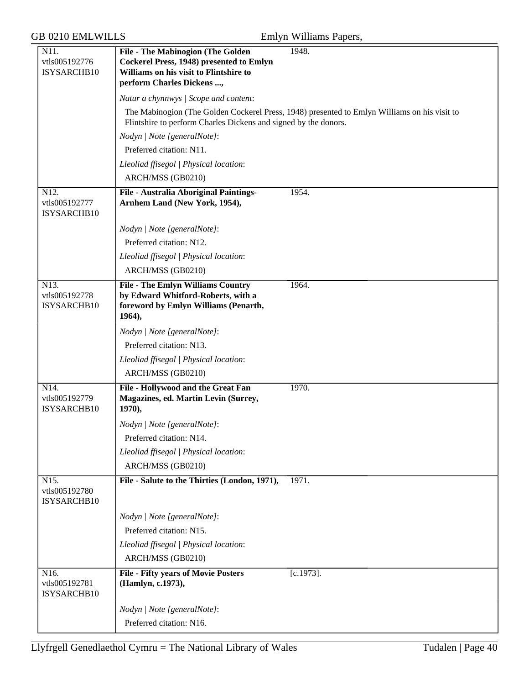| <b>GB 0210 EMLWILLS</b>                           |                                                                                                                                                                     | Emlyn Williams Papers,                                                                       |
|---------------------------------------------------|---------------------------------------------------------------------------------------------------------------------------------------------------------------------|----------------------------------------------------------------------------------------------|
| N11.<br>vtls005192776<br>ISYSARCHB10              | <b>File - The Mabinogion (The Golden)</b><br><b>Cockerel Press, 1948) presented to Emlyn</b><br>Williams on his visit to Flintshire to<br>perform Charles Dickens , | 1948.                                                                                        |
|                                                   | Natur a chynnwys / Scope and content:                                                                                                                               |                                                                                              |
|                                                   | Flintshire to perform Charles Dickens and signed by the donors.                                                                                                     | The Mabinogion (The Golden Cockerel Press, 1948) presented to Emlyn Williams on his visit to |
|                                                   | Nodyn   Note [generalNote]:                                                                                                                                         |                                                                                              |
|                                                   | Preferred citation: N11.                                                                                                                                            |                                                                                              |
|                                                   | Lleoliad ffisegol   Physical location:                                                                                                                              |                                                                                              |
|                                                   | ARCH/MSS (GB0210)                                                                                                                                                   |                                                                                              |
| N12.<br>vtls005192777<br>ISYSARCHB10              | File - Australia Aboriginal Paintings-<br>Arnhem Land (New York, 1954),                                                                                             | 1954.                                                                                        |
|                                                   | Nodyn   Note [generalNote]:                                                                                                                                         |                                                                                              |
|                                                   | Preferred citation: N12.                                                                                                                                            |                                                                                              |
|                                                   | Lleoliad ffisegol   Physical location:                                                                                                                              |                                                                                              |
|                                                   | ARCH/MSS (GB0210)                                                                                                                                                   |                                                                                              |
| N13.<br>vtls005192778<br>ISYSARCHB10              | <b>File - The Emlyn Williams Country</b><br>by Edward Whitford-Roberts, with a<br>foreword by Emlyn Williams (Penarth,<br>1964),                                    | 1964.                                                                                        |
|                                                   | Nodyn   Note [generalNote]:                                                                                                                                         |                                                                                              |
|                                                   | Preferred citation: N13.                                                                                                                                            |                                                                                              |
|                                                   | Lleoliad ffisegol   Physical location:                                                                                                                              |                                                                                              |
|                                                   | ARCH/MSS (GB0210)                                                                                                                                                   |                                                                                              |
| N <sub>14</sub> .<br>vtls005192779<br>ISYSARCHB10 | File - Hollywood and the Great Fan<br>Magazines, ed. Martin Levin (Surrey,<br>1970),                                                                                | 1970.                                                                                        |
|                                                   | Nodyn   Note [generalNote]:                                                                                                                                         |                                                                                              |
|                                                   | Preferred citation: N14.                                                                                                                                            |                                                                                              |
|                                                   | Lleoliad ffisegol   Physical location:                                                                                                                              |                                                                                              |
|                                                   | ARCH/MSS (GB0210)                                                                                                                                                   |                                                                                              |
| N15.<br>vtls005192780<br>ISYSARCHB10              | File - Salute to the Thirties (London, 1971),                                                                                                                       | 1971.                                                                                        |
|                                                   | Nodyn   Note [generalNote]:                                                                                                                                         |                                                                                              |
|                                                   | Preferred citation: N15.                                                                                                                                            |                                                                                              |
|                                                   | Lleoliad ffisegol   Physical location:                                                                                                                              |                                                                                              |
|                                                   | ARCH/MSS (GB0210)                                                                                                                                                   |                                                                                              |
| N16.<br>vtls005192781<br>ISYSARCHB10              | <b>File - Fifty years of Movie Posters</b><br>(Hamlyn, c.1973),                                                                                                     | $[c.1973]$ .                                                                                 |
|                                                   | Nodyn   Note [generalNote]:                                                                                                                                         |                                                                                              |
|                                                   | Preferred citation: N16.                                                                                                                                            |                                                                                              |